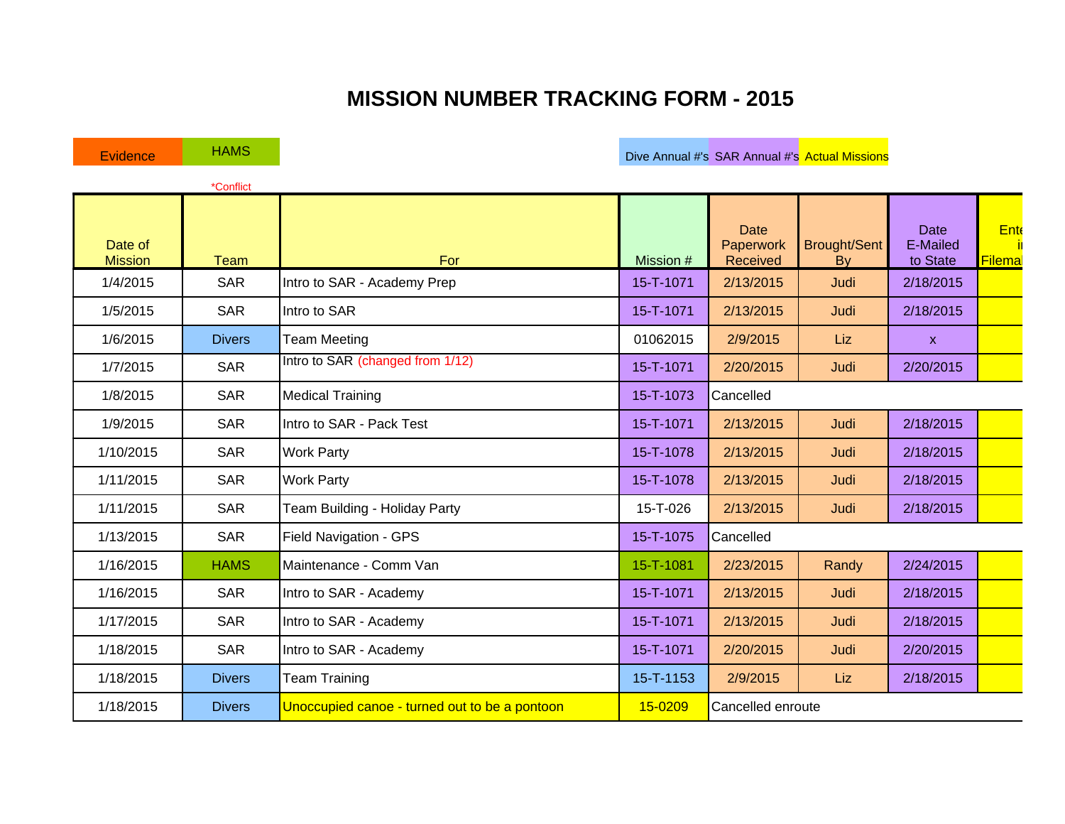## **MISSION NUMBER TRACKING FORM - 2015**

|                           | *Conflict     |                                               |           |                                      |                           |                              |                       |
|---------------------------|---------------|-----------------------------------------------|-----------|--------------------------------------|---------------------------|------------------------------|-----------------------|
| Date of<br><b>Mission</b> | <b>Team</b>   | For                                           | Mission # | <b>Date</b><br>Paperwork<br>Received | <b>Brought/Sent</b><br>By | Date<br>E-Mailed<br>to State | <b>Ente</b><br>Filema |
| 1/4/2015                  | <b>SAR</b>    | Intro to SAR - Academy Prep                   | 15-T-1071 | 2/13/2015                            | Judi                      | 2/18/2015                    |                       |
| 1/5/2015                  | <b>SAR</b>    | Intro to SAR                                  | 15-T-1071 | 2/13/2015                            | Judi                      | 2/18/2015                    |                       |
| 1/6/2015                  | <b>Divers</b> | <b>Team Meeting</b>                           | 01062015  | 2/9/2015                             | Liz                       | $\mathsf{X}$                 |                       |
| 1/7/2015                  | <b>SAR</b>    | Intro to SAR (changed from 1/12)              | 15-T-1071 | 2/20/2015                            | Judi                      | 2/20/2015                    |                       |
| 1/8/2015                  | <b>SAR</b>    | <b>Medical Training</b>                       | 15-T-1073 | Cancelled                            |                           |                              |                       |
| 1/9/2015                  | <b>SAR</b>    | Intro to SAR - Pack Test                      | 15-T-1071 | 2/13/2015                            | Judi                      | 2/18/2015                    |                       |
| 1/10/2015                 | <b>SAR</b>    | <b>Work Party</b>                             | 15-T-1078 | 2/13/2015                            | Judi                      | 2/18/2015                    |                       |
| 1/11/2015                 | <b>SAR</b>    | <b>Work Party</b>                             | 15-T-1078 | 2/13/2015                            | Judi                      | 2/18/2015                    |                       |
| 1/11/2015                 | <b>SAR</b>    | Team Building - Holiday Party                 | 15-T-026  | 2/13/2015                            | Judi                      | 2/18/2015                    |                       |
| 1/13/2015                 | <b>SAR</b>    | Field Navigation - GPS                        | 15-T-1075 | Cancelled                            |                           |                              |                       |
| 1/16/2015                 | <b>HAMS</b>   | Maintenance - Comm Van                        | 15-T-1081 | 2/23/2015                            | Randy                     | 2/24/2015                    |                       |
| 1/16/2015                 | SAR           | Intro to SAR - Academy                        | 15-T-1071 | 2/13/2015                            | Judi                      | 2/18/2015                    |                       |
| 1/17/2015                 | <b>SAR</b>    | Intro to SAR - Academy                        | 15-T-1071 | 2/13/2015                            | Judi                      | 2/18/2015                    |                       |
| 1/18/2015                 | <b>SAR</b>    | Intro to SAR - Academy                        | 15-T-1071 | 2/20/2015                            | Judi                      | 2/20/2015                    |                       |
| 1/18/2015                 | <b>Divers</b> | <b>Team Training</b>                          | 15-T-1153 | 2/9/2015                             | Liz                       | 2/18/2015                    |                       |
| 1/18/2015                 | <b>Divers</b> | Unoccupied canoe - turned out to be a pontoon | 15-0209   | Cancelled enroute                    |                           |                              |                       |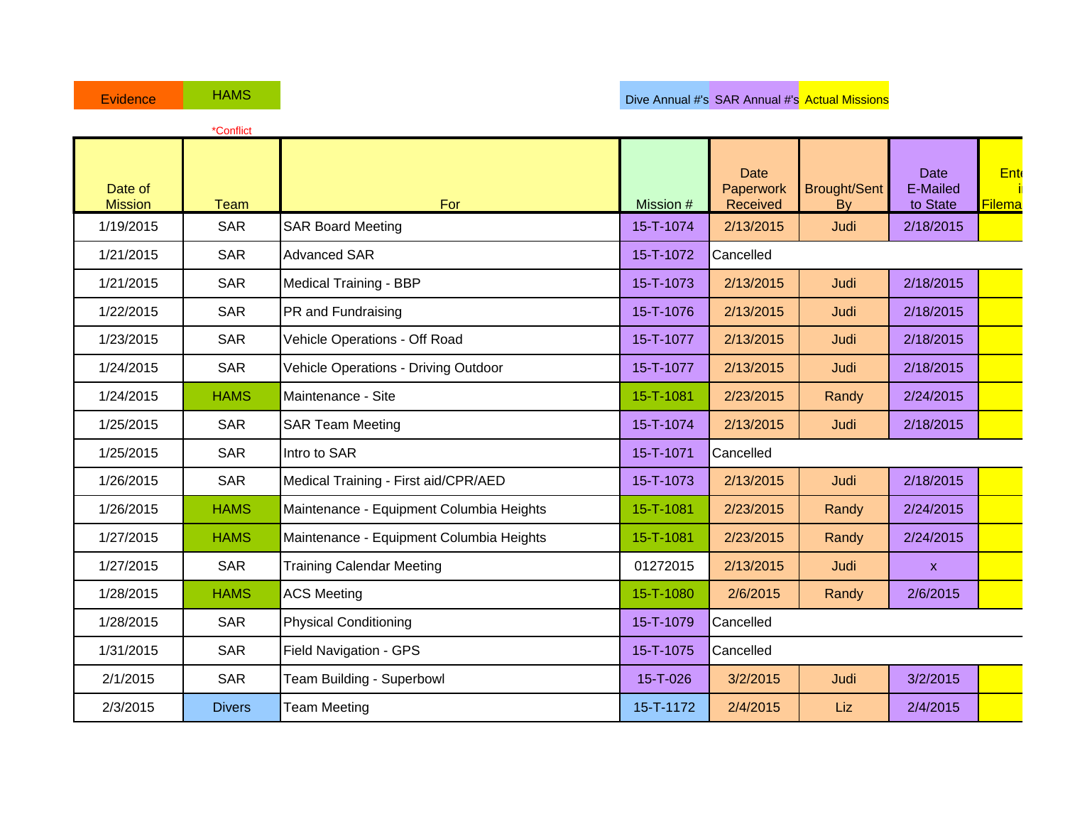|                           | *Conflict     |                                          |           |                                      |                           |                              |               |
|---------------------------|---------------|------------------------------------------|-----------|--------------------------------------|---------------------------|------------------------------|---------------|
| Date of<br><b>Mission</b> | <b>Team</b>   | For                                      | Mission # | <b>Date</b><br>Paperwork<br>Received | <b>Brought/Sent</b><br>By | Date<br>E-Mailed<br>to State | Ent<br>Filema |
| 1/19/2015                 | <b>SAR</b>    | <b>SAR Board Meeting</b>                 | 15-T-1074 | 2/13/2015                            | Judi                      | 2/18/2015                    |               |
| 1/21/2015                 | <b>SAR</b>    | <b>Advanced SAR</b>                      | 15-T-1072 | Cancelled                            |                           |                              |               |
| 1/21/2015                 | <b>SAR</b>    | <b>Medical Training - BBP</b>            | 15-T-1073 | 2/13/2015                            | Judi                      | 2/18/2015                    |               |
| 1/22/2015                 | <b>SAR</b>    | PR and Fundraising                       | 15-T-1076 | 2/13/2015                            | Judi                      | 2/18/2015                    |               |
| 1/23/2015                 | <b>SAR</b>    | Vehicle Operations - Off Road            | 15-T-1077 | 2/13/2015                            | Judi                      | 2/18/2015                    |               |
| 1/24/2015                 | <b>SAR</b>    | Vehicle Operations - Driving Outdoor     | 15-T-1077 | 2/13/2015                            | Judi                      | 2/18/2015                    |               |
| 1/24/2015                 | <b>HAMS</b>   | Maintenance - Site                       | 15-T-1081 | 2/23/2015                            | Randy                     | 2/24/2015                    |               |
| 1/25/2015                 | <b>SAR</b>    | <b>SAR Team Meeting</b>                  | 15-T-1074 | 2/13/2015                            | Judi                      | 2/18/2015                    |               |
| 1/25/2015                 | <b>SAR</b>    | Intro to SAR                             | 15-T-1071 | Cancelled                            |                           |                              |               |
| 1/26/2015                 | <b>SAR</b>    | Medical Training - First aid/CPR/AED     | 15-T-1073 | 2/13/2015                            | Judi                      | 2/18/2015                    |               |
| 1/26/2015                 | <b>HAMS</b>   | Maintenance - Equipment Columbia Heights | 15-T-1081 | 2/23/2015                            | Randy                     | 2/24/2015                    |               |
| 1/27/2015                 | <b>HAMS</b>   | Maintenance - Equipment Columbia Heights | 15-T-1081 | 2/23/2015                            | Randy                     | 2/24/2015                    |               |
| 1/27/2015                 | <b>SAR</b>    | <b>Training Calendar Meeting</b>         | 01272015  | 2/13/2015                            | Judi                      | $\mathsf{x}$                 |               |
| 1/28/2015                 | <b>HAMS</b>   | <b>ACS Meeting</b>                       | 15-T-1080 | 2/6/2015                             | Randy                     | 2/6/2015                     |               |
| 1/28/2015                 | <b>SAR</b>    | <b>Physical Conditioning</b>             | 15-T-1079 | Cancelled                            |                           |                              |               |
| 1/31/2015                 | <b>SAR</b>    | Field Navigation - GPS                   | 15-T-1075 | Cancelled                            |                           |                              |               |
| 2/1/2015                  | <b>SAR</b>    | Team Building - Superbowl                | 15-T-026  | 3/2/2015                             | Judi                      | 3/2/2015                     |               |
| 2/3/2015                  | <b>Divers</b> | <b>Team Meeting</b>                      | 15-T-1172 | 2/4/2015                             | Liz                       | 2/4/2015                     |               |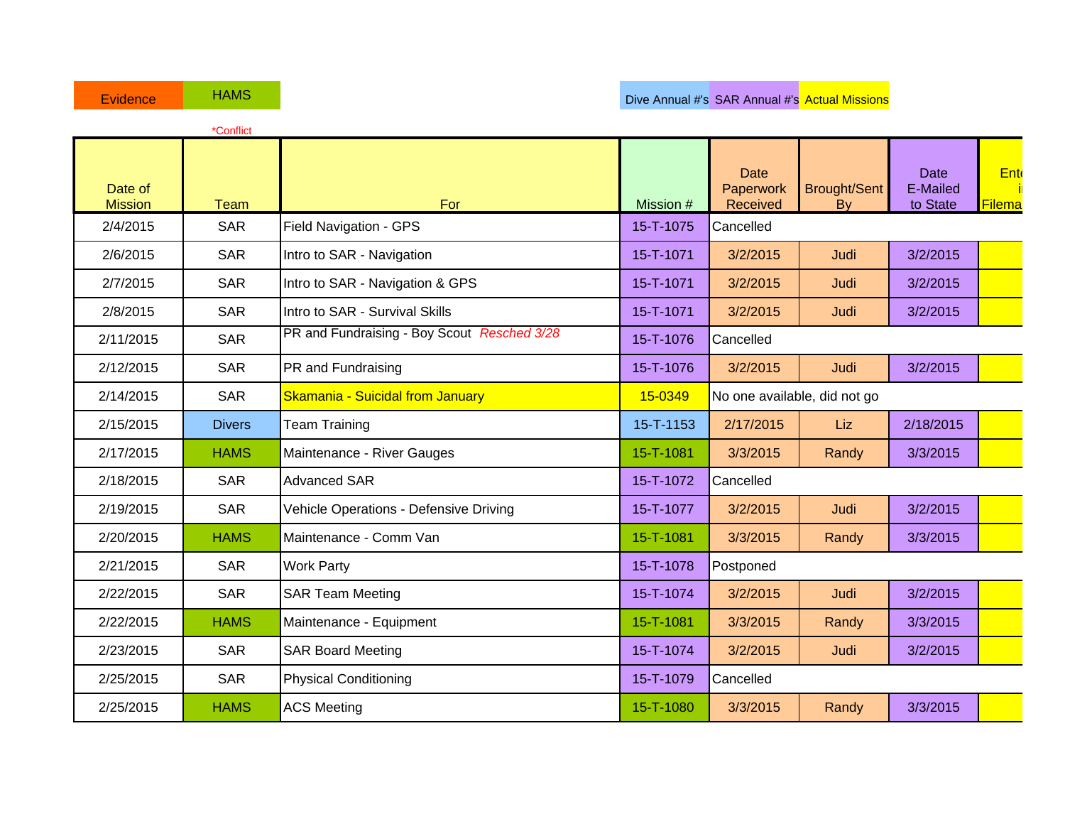|                           | *Conflict     |                                             |           |                                      |                                  |                                     |               |
|---------------------------|---------------|---------------------------------------------|-----------|--------------------------------------|----------------------------------|-------------------------------------|---------------|
| Date of<br><b>Mission</b> | <b>Team</b>   | For                                         | Mission # | <b>Date</b><br>Paperwork<br>Received | <b>Brought/Sent</b><br><b>By</b> | <b>Date</b><br>E-Mailed<br>to State | Ent<br>Filema |
| 2/4/2015                  | <b>SAR</b>    | Field Navigation - GPS                      | 15-T-1075 | Cancelled                            |                                  |                                     |               |
| 2/6/2015                  | <b>SAR</b>    | Intro to SAR - Navigation                   | 15-T-1071 | 3/2/2015                             | Judi                             | 3/2/2015                            |               |
| 2/7/2015                  | <b>SAR</b>    | Intro to SAR - Navigation & GPS             | 15-T-1071 | 3/2/2015                             | Judi                             | 3/2/2015                            |               |
| 2/8/2015                  | <b>SAR</b>    | Intro to SAR - Survival Skills              | 15-T-1071 | 3/2/2015                             | Judi                             | 3/2/2015                            |               |
| 2/11/2015                 | <b>SAR</b>    | PR and Fundraising - Boy Scout Resched 3/28 | 15-T-1076 | Cancelled                            |                                  |                                     |               |
| 2/12/2015                 | <b>SAR</b>    | PR and Fundraising                          | 15-T-1076 | 3/2/2015                             | Judi                             | 3/2/2015                            |               |
| 2/14/2015                 | <b>SAR</b>    | Skamania - Suicidal from January            | 15-0349   | No one available, did not go         |                                  |                                     |               |
| 2/15/2015                 | <b>Divers</b> | <b>Team Training</b>                        | 15-T-1153 | 2/17/2015                            | Liz                              | 2/18/2015                           |               |
| 2/17/2015                 | <b>HAMS</b>   | Maintenance - River Gauges                  | 15-T-1081 | 3/3/2015                             | Randy                            | 3/3/2015                            |               |
| 2/18/2015                 | <b>SAR</b>    | Advanced SAR                                | 15-T-1072 | Cancelled                            |                                  |                                     |               |
| 2/19/2015                 | <b>SAR</b>    | Vehicle Operations - Defensive Driving      | 15-T-1077 | 3/2/2015                             | Judi                             | 3/2/2015                            |               |
| 2/20/2015                 | <b>HAMS</b>   | Maintenance - Comm Van                      | 15-T-1081 | 3/3/2015                             | Randy                            | 3/3/2015                            |               |
| 2/21/2015                 | <b>SAR</b>    | <b>Work Party</b>                           | 15-T-1078 | Postponed                            |                                  |                                     |               |
| 2/22/2015                 | <b>SAR</b>    | <b>SAR Team Meeting</b>                     | 15-T-1074 | 3/2/2015                             | Judi                             | 3/2/2015                            |               |
| 2/22/2015                 | <b>HAMS</b>   | Maintenance - Equipment                     | 15-T-1081 | 3/3/2015                             | Randy                            | 3/3/2015                            |               |
| 2/23/2015                 | <b>SAR</b>    | <b>SAR Board Meeting</b>                    | 15-T-1074 | 3/2/2015                             | Judi                             | 3/2/2015                            |               |
| 2/25/2015                 | <b>SAR</b>    | <b>Physical Conditioning</b>                | 15-T-1079 | Cancelled                            |                                  |                                     |               |
| 2/25/2015                 | <b>HAMS</b>   | <b>ACS Meeting</b>                          | 15-T-1080 | 3/3/2015                             | Randy                            | 3/3/2015                            |               |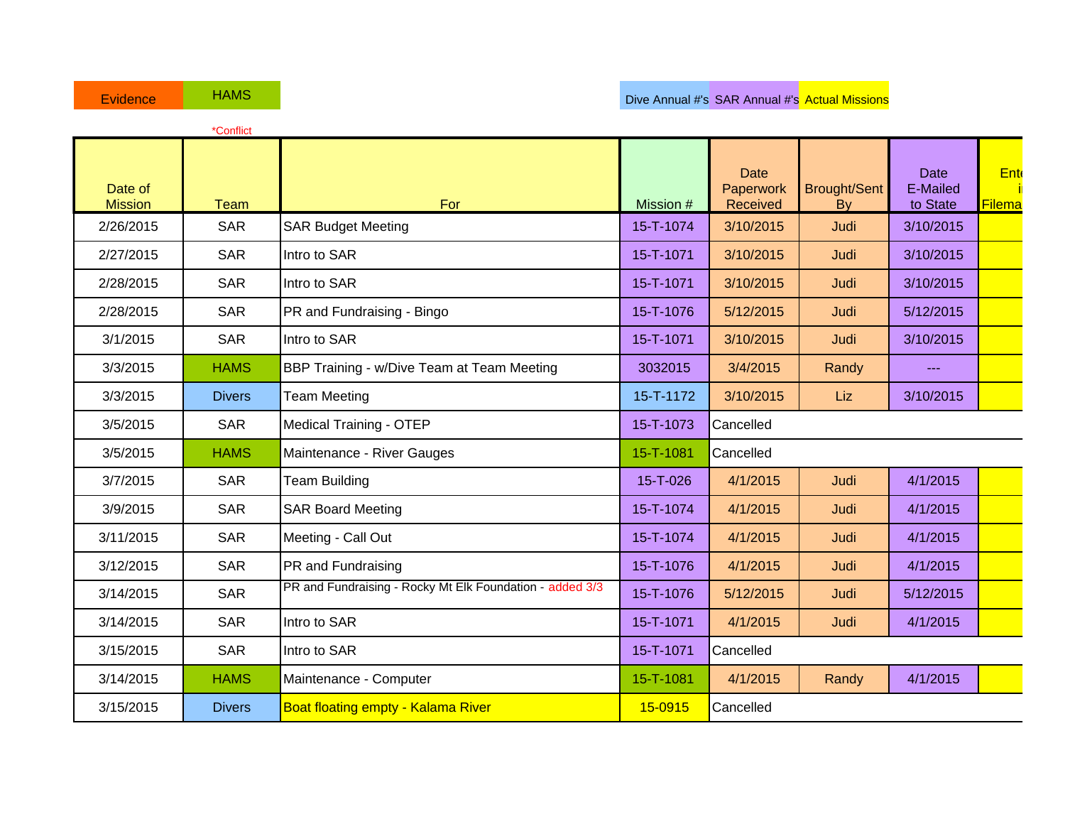|                           | *Conflict     |                                                          |           |                                      |                           |                              |                      |
|---------------------------|---------------|----------------------------------------------------------|-----------|--------------------------------------|---------------------------|------------------------------|----------------------|
| Date of<br><b>Mission</b> | <b>Team</b>   | For                                                      | Mission # | <b>Date</b><br>Paperwork<br>Received | <b>Brought/Sent</b><br>By | Date<br>E-Mailed<br>to State | <b>Ent</b><br>Filema |
| 2/26/2015                 | <b>SAR</b>    | <b>SAR Budget Meeting</b>                                | 15-T-1074 | 3/10/2015                            | Judi                      | 3/10/2015                    |                      |
| 2/27/2015                 | <b>SAR</b>    | Intro to SAR                                             | 15-T-1071 | 3/10/2015                            | Judi                      | 3/10/2015                    |                      |
| 2/28/2015                 | <b>SAR</b>    | Intro to SAR                                             | 15-T-1071 | 3/10/2015                            | Judi                      | 3/10/2015                    |                      |
| 2/28/2015                 | <b>SAR</b>    | PR and Fundraising - Bingo                               | 15-T-1076 | 5/12/2015                            | Judi                      | 5/12/2015                    |                      |
| 3/1/2015                  | <b>SAR</b>    | Intro to SAR                                             | 15-T-1071 | 3/10/2015                            | Judi                      | 3/10/2015                    |                      |
| 3/3/2015                  | <b>HAMS</b>   | BBP Training - w/Dive Team at Team Meeting               | 3032015   | 3/4/2015                             | Randy                     | $- - -$                      |                      |
| 3/3/2015                  | <b>Divers</b> | <b>Team Meeting</b>                                      | 15-T-1172 | 3/10/2015                            | Liz                       | 3/10/2015                    |                      |
| 3/5/2015                  | <b>SAR</b>    | <b>Medical Training - OTEP</b>                           | 15-T-1073 | Cancelled                            |                           |                              |                      |
| 3/5/2015                  | <b>HAMS</b>   | Maintenance - River Gauges                               | 15-T-1081 | Cancelled                            |                           |                              |                      |
| 3/7/2015                  | <b>SAR</b>    | <b>Team Building</b>                                     | 15-T-026  | 4/1/2015                             | Judi                      | 4/1/2015                     |                      |
| 3/9/2015                  | <b>SAR</b>    | <b>SAR Board Meeting</b>                                 | 15-T-1074 | 4/1/2015                             | Judi                      | 4/1/2015                     |                      |
| 3/11/2015                 | <b>SAR</b>    | Meeting - Call Out                                       | 15-T-1074 | 4/1/2015                             | Judi                      | 4/1/2015                     |                      |
| 3/12/2015                 | <b>SAR</b>    | PR and Fundraising                                       | 15-T-1076 | 4/1/2015                             | Judi                      | 4/1/2015                     |                      |
| 3/14/2015                 | <b>SAR</b>    | PR and Fundraising - Rocky Mt Elk Foundation - added 3/3 | 15-T-1076 | 5/12/2015                            | Judi                      | 5/12/2015                    |                      |
| 3/14/2015                 | <b>SAR</b>    | Intro to SAR                                             | 15-T-1071 | 4/1/2015                             | Judi                      | 4/1/2015                     |                      |
| 3/15/2015                 | <b>SAR</b>    | Intro to SAR                                             | 15-T-1071 | Cancelled                            |                           |                              |                      |
| 3/14/2015                 | <b>HAMS</b>   | Maintenance - Computer                                   | 15-T-1081 | 4/1/2015                             | Randy                     | 4/1/2015                     |                      |
| 3/15/2015                 | <b>Divers</b> | <b>Boat floating empty - Kalama River</b>                | 15-0915   | Cancelled                            |                           |                              |                      |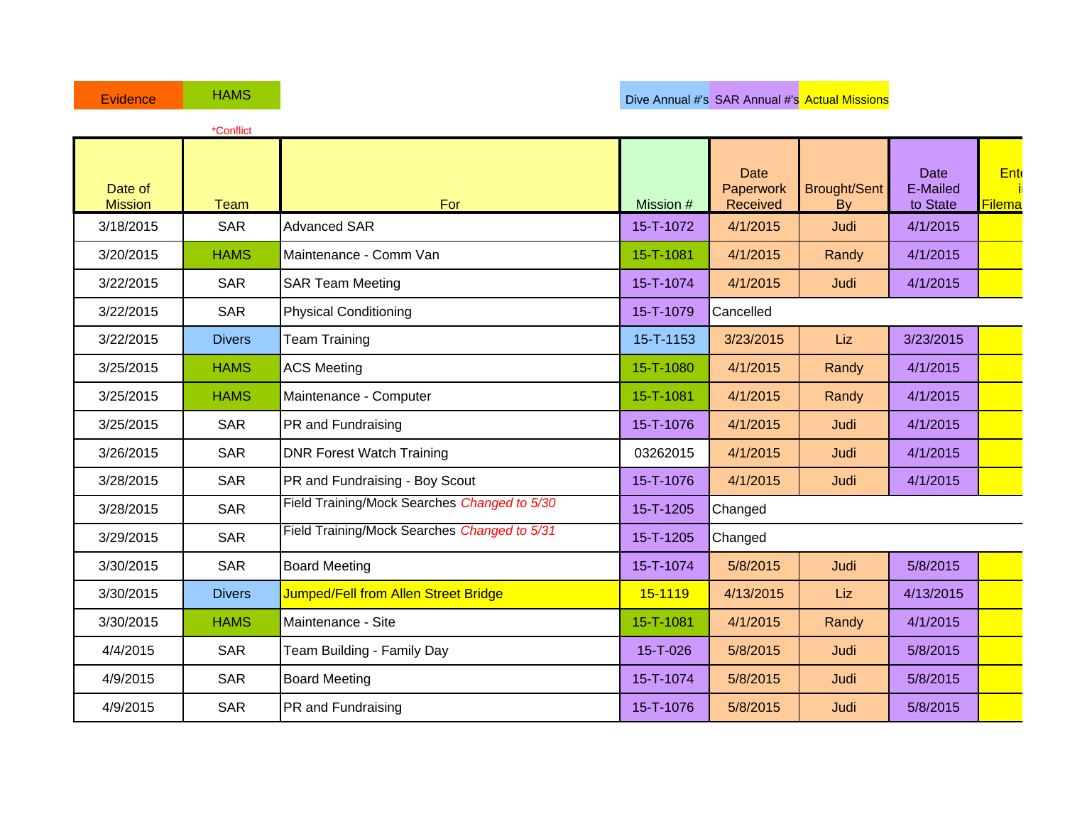|                           | *Conflict     |                                              |           |                                      |                           |                              |               |
|---------------------------|---------------|----------------------------------------------|-----------|--------------------------------------|---------------------------|------------------------------|---------------|
| Date of<br><b>Mission</b> | <b>Team</b>   | For                                          | Mission # | <b>Date</b><br>Paperwork<br>Received | <b>Brought/Sent</b><br>By | Date<br>E-Mailed<br>to State | Ent<br>Filema |
| 3/18/2015                 | <b>SAR</b>    | <b>Advanced SAR</b>                          | 15-T-1072 | 4/1/2015                             | Judi                      | 4/1/2015                     |               |
| 3/20/2015                 | <b>HAMS</b>   | Maintenance - Comm Van                       | 15-T-1081 | 4/1/2015                             | Randy                     | 4/1/2015                     |               |
| 3/22/2015                 | <b>SAR</b>    | <b>SAR Team Meeting</b>                      | 15-T-1074 | 4/1/2015                             | Judi                      | 4/1/2015                     |               |
| 3/22/2015                 | <b>SAR</b>    | <b>Physical Conditioning</b>                 | 15-T-1079 | Cancelled                            |                           |                              |               |
| 3/22/2015                 | <b>Divers</b> | <b>Team Training</b>                         | 15-T-1153 | 3/23/2015                            | Liz                       | 3/23/2015                    |               |
| 3/25/2015                 | <b>HAMS</b>   | <b>ACS Meeting</b>                           | 15-T-1080 | 4/1/2015                             | Randy                     | 4/1/2015                     |               |
| 3/25/2015                 | <b>HAMS</b>   | Maintenance - Computer                       | 15-T-1081 | 4/1/2015                             | Randy                     | 4/1/2015                     |               |
| 3/25/2015                 | <b>SAR</b>    | PR and Fundraising                           | 15-T-1076 | 4/1/2015                             | Judi                      | 4/1/2015                     |               |
| 3/26/2015                 | <b>SAR</b>    | <b>DNR Forest Watch Training</b>             | 03262015  | 4/1/2015                             | Judi                      | 4/1/2015                     |               |
| 3/28/2015                 | <b>SAR</b>    | PR and Fundraising - Boy Scout               | 15-T-1076 | 4/1/2015                             | Judi                      | 4/1/2015                     |               |
| 3/28/2015                 | <b>SAR</b>    | Field Training/Mock Searches Changed to 5/30 | 15-T-1205 | Changed                              |                           |                              |               |
| 3/29/2015                 | <b>SAR</b>    | Field Training/Mock Searches Changed to 5/31 | 15-T-1205 | Changed                              |                           |                              |               |
| 3/30/2015                 | <b>SAR</b>    | <b>Board Meeting</b>                         | 15-T-1074 | 5/8/2015                             | Judi                      | 5/8/2015                     |               |
| 3/30/2015                 | <b>Divers</b> | Jumped/Fell from Allen Street Bridge         | 15-1119   | 4/13/2015                            | Liz                       | 4/13/2015                    |               |
| 3/30/2015                 | <b>HAMS</b>   | Maintenance - Site                           | 15-T-1081 | 4/1/2015                             | Randy                     | 4/1/2015                     |               |
| 4/4/2015                  | <b>SAR</b>    | Team Building - Family Day                   | 15-T-026  | 5/8/2015                             | Judi                      | 5/8/2015                     |               |
| 4/9/2015                  | <b>SAR</b>    | <b>Board Meeting</b>                         | 15-T-1074 | 5/8/2015                             | Judi                      | 5/8/2015                     |               |
| 4/9/2015                  | <b>SAR</b>    | PR and Fundraising                           | 15-T-1076 | 5/8/2015                             | Judi                      | 5/8/2015                     |               |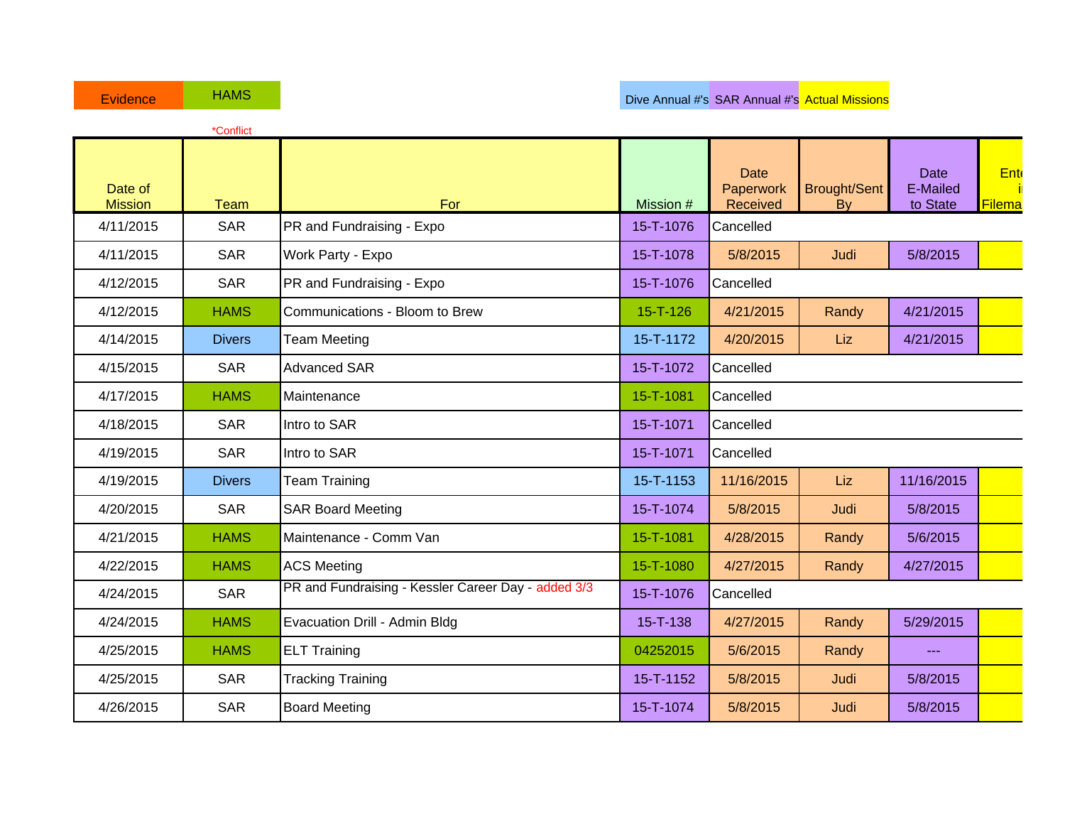|                           | *Conflict     |                                                     |                |                                      |                                  |                                     |               |
|---------------------------|---------------|-----------------------------------------------------|----------------|--------------------------------------|----------------------------------|-------------------------------------|---------------|
| Date of<br><b>Mission</b> | <b>Team</b>   | For                                                 | Mission #      | <b>Date</b><br>Paperwork<br>Received | <b>Brought/Sent</b><br><b>By</b> | <b>Date</b><br>E-Mailed<br>to State | Ent<br>Filema |
| 4/11/2015                 | <b>SAR</b>    | PR and Fundraising - Expo                           | 15-T-1076      | Cancelled                            |                                  |                                     |               |
| 4/11/2015                 | <b>SAR</b>    | Work Party - Expo                                   | 15-T-1078      | 5/8/2015                             | Judi                             | 5/8/2015                            |               |
| 4/12/2015                 | <b>SAR</b>    | PR and Fundraising - Expo                           | 15-T-1076      | Cancelled                            |                                  |                                     |               |
| 4/12/2015                 | <b>HAMS</b>   | Communications - Bloom to Brew                      | $15 - T - 126$ | 4/21/2015                            | Randy                            | 4/21/2015                           |               |
| 4/14/2015                 | <b>Divers</b> | <b>Team Meeting</b>                                 | 15-T-1172      | 4/20/2015                            | Liz                              | 4/21/2015                           |               |
| 4/15/2015                 | <b>SAR</b>    | <b>Advanced SAR</b>                                 | 15-T-1072      | Cancelled                            |                                  |                                     |               |
| 4/17/2015                 | <b>HAMS</b>   | Maintenance                                         | 15-T-1081      | Cancelled                            |                                  |                                     |               |
| 4/18/2015                 | <b>SAR</b>    | Intro to SAR                                        | 15-T-1071      | Cancelled                            |                                  |                                     |               |
| 4/19/2015                 | <b>SAR</b>    | Intro to SAR                                        | 15-T-1071      | Cancelled                            |                                  |                                     |               |
| 4/19/2015                 | <b>Divers</b> | <b>Team Training</b>                                | 15-T-1153      | 11/16/2015                           | Liz                              | 11/16/2015                          |               |
| 4/20/2015                 | <b>SAR</b>    | <b>SAR Board Meeting</b>                            | 15-T-1074      | 5/8/2015                             | Judi                             | 5/8/2015                            |               |
| 4/21/2015                 | <b>HAMS</b>   | Maintenance - Comm Van                              | 15-T-1081      | 4/28/2015                            | Randy                            | 5/6/2015                            |               |
| 4/22/2015                 | <b>HAMS</b>   | <b>ACS Meeting</b>                                  | 15-T-1080      | 4/27/2015                            | Randy                            | 4/27/2015                           |               |
| 4/24/2015                 | <b>SAR</b>    | PR and Fundraising - Kessler Career Day - added 3/3 | 15-T-1076      | Cancelled                            |                                  |                                     |               |
| 4/24/2015                 | <b>HAMS</b>   | Evacuation Drill - Admin Bldg                       | $15 - T - 138$ | 4/27/2015                            | Randy                            | 5/29/2015                           |               |
| 4/25/2015                 | <b>HAMS</b>   | <b>ELT Training</b>                                 | 04252015       | 5/6/2015                             | Randy                            | ---                                 |               |
| 4/25/2015                 | <b>SAR</b>    | <b>Tracking Training</b>                            | 15-T-1152      | 5/8/2015                             | Judi                             | 5/8/2015                            |               |
| 4/26/2015                 | <b>SAR</b>    | <b>Board Meeting</b>                                | 15-T-1074      | 5/8/2015                             | Judi                             | 5/8/2015                            |               |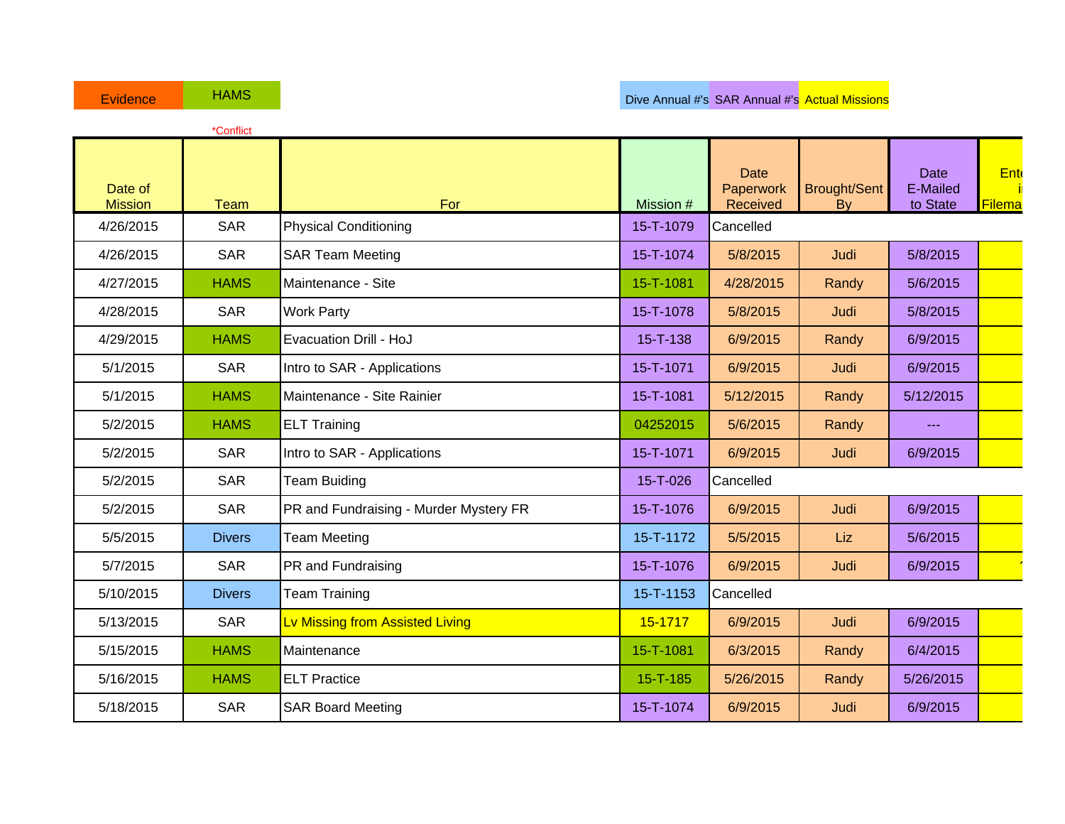|                           | *Conflict     |                                        |                |                               |                           |                                                                                                                                                                                                                                                                                                                                                                                              |                       |
|---------------------------|---------------|----------------------------------------|----------------|-------------------------------|---------------------------|----------------------------------------------------------------------------------------------------------------------------------------------------------------------------------------------------------------------------------------------------------------------------------------------------------------------------------------------------------------------------------------------|-----------------------|
| Date of<br><b>Mission</b> | <b>Team</b>   | For                                    | Mission #      | Date<br>Paperwork<br>Received | <b>Brought/Sent</b><br>By | Date<br>E-Mailed<br>to State                                                                                                                                                                                                                                                                                                                                                                 | <b>Ente</b><br>Filema |
| 4/26/2015                 | <b>SAR</b>    | <b>Physical Conditioning</b>           | 15-T-1079      | Cancelled                     |                           |                                                                                                                                                                                                                                                                                                                                                                                              |                       |
| 4/26/2015                 | <b>SAR</b>    | <b>SAR Team Meeting</b>                | 15-T-1074      | 5/8/2015                      | Judi                      | 5/8/2015                                                                                                                                                                                                                                                                                                                                                                                     |                       |
| 4/27/2015                 | <b>HAMS</b>   | Maintenance - Site                     | 15-T-1081      | 4/28/2015                     | Randy                     | 5/6/2015                                                                                                                                                                                                                                                                                                                                                                                     |                       |
| 4/28/2015                 | <b>SAR</b>    | <b>Work Party</b>                      | 15-T-1078      | 5/8/2015                      | Judi                      | 5/8/2015                                                                                                                                                                                                                                                                                                                                                                                     |                       |
| 4/29/2015                 | <b>HAMS</b>   | Evacuation Drill - HoJ                 | $15 - T - 138$ | 6/9/2015                      | Randy                     | 6/9/2015                                                                                                                                                                                                                                                                                                                                                                                     |                       |
| 5/1/2015                  | <b>SAR</b>    | Intro to SAR - Applications            | 15-T-1071      | 6/9/2015                      | Judi                      | 6/9/2015                                                                                                                                                                                                                                                                                                                                                                                     |                       |
| 5/1/2015                  | <b>HAMS</b>   | Maintenance - Site Rainier             | 15-T-1081      | 5/12/2015                     | Randy                     | 5/12/2015                                                                                                                                                                                                                                                                                                                                                                                    |                       |
| 5/2/2015                  | <b>HAMS</b>   | <b>ELT Training</b>                    | 04252015       | 5/6/2015                      | Randy                     | $\frac{1}{2} \frac{1}{2} \frac{1}{2} \frac{1}{2} \frac{1}{2} \frac{1}{2} \frac{1}{2} \frac{1}{2} \frac{1}{2} \frac{1}{2} \frac{1}{2} \frac{1}{2} \frac{1}{2} \frac{1}{2} \frac{1}{2} \frac{1}{2} \frac{1}{2} \frac{1}{2} \frac{1}{2} \frac{1}{2} \frac{1}{2} \frac{1}{2} \frac{1}{2} \frac{1}{2} \frac{1}{2} \frac{1}{2} \frac{1}{2} \frac{1}{2} \frac{1}{2} \frac{1}{2} \frac{1}{2} \frac{$ |                       |
| 5/2/2015                  | <b>SAR</b>    | Intro to SAR - Applications            | 15-T-1071      | 6/9/2015                      | Judi                      | 6/9/2015                                                                                                                                                                                                                                                                                                                                                                                     |                       |
| 5/2/2015                  | <b>SAR</b>    | <b>Team Buiding</b>                    | 15-T-026       | Cancelled                     |                           |                                                                                                                                                                                                                                                                                                                                                                                              |                       |
| 5/2/2015                  | <b>SAR</b>    | PR and Fundraising - Murder Mystery FR | 15-T-1076      | 6/9/2015                      | Judi                      | 6/9/2015                                                                                                                                                                                                                                                                                                                                                                                     |                       |
| 5/5/2015                  | <b>Divers</b> | <b>Team Meeting</b>                    | 15-T-1172      | 5/5/2015                      | Liz                       | 5/6/2015                                                                                                                                                                                                                                                                                                                                                                                     |                       |
| 5/7/2015                  | <b>SAR</b>    | PR and Fundraising                     | 15-T-1076      | 6/9/2015                      | Judi                      | 6/9/2015                                                                                                                                                                                                                                                                                                                                                                                     |                       |
| 5/10/2015                 | <b>Divers</b> | <b>Team Training</b>                   | 15-T-1153      | Cancelled                     |                           |                                                                                                                                                                                                                                                                                                                                                                                              |                       |
| 5/13/2015                 | <b>SAR</b>    | Lv Missing from Assisted Living        | 15-1717        | 6/9/2015                      | Judi                      | 6/9/2015                                                                                                                                                                                                                                                                                                                                                                                     |                       |
| 5/15/2015                 | <b>HAMS</b>   | Maintenance                            | 15-T-1081      | 6/3/2015                      | Randy                     | 6/4/2015                                                                                                                                                                                                                                                                                                                                                                                     |                       |
| 5/16/2015                 | <b>HAMS</b>   | <b>ELT Practice</b>                    | $15 - T - 185$ | 5/26/2015                     | Randy                     | 5/26/2015                                                                                                                                                                                                                                                                                                                                                                                    |                       |
| 5/18/2015                 | <b>SAR</b>    | <b>SAR Board Meeting</b>               | 15-T-1074      | 6/9/2015                      | Judi                      | 6/9/2015                                                                                                                                                                                                                                                                                                                                                                                     |                       |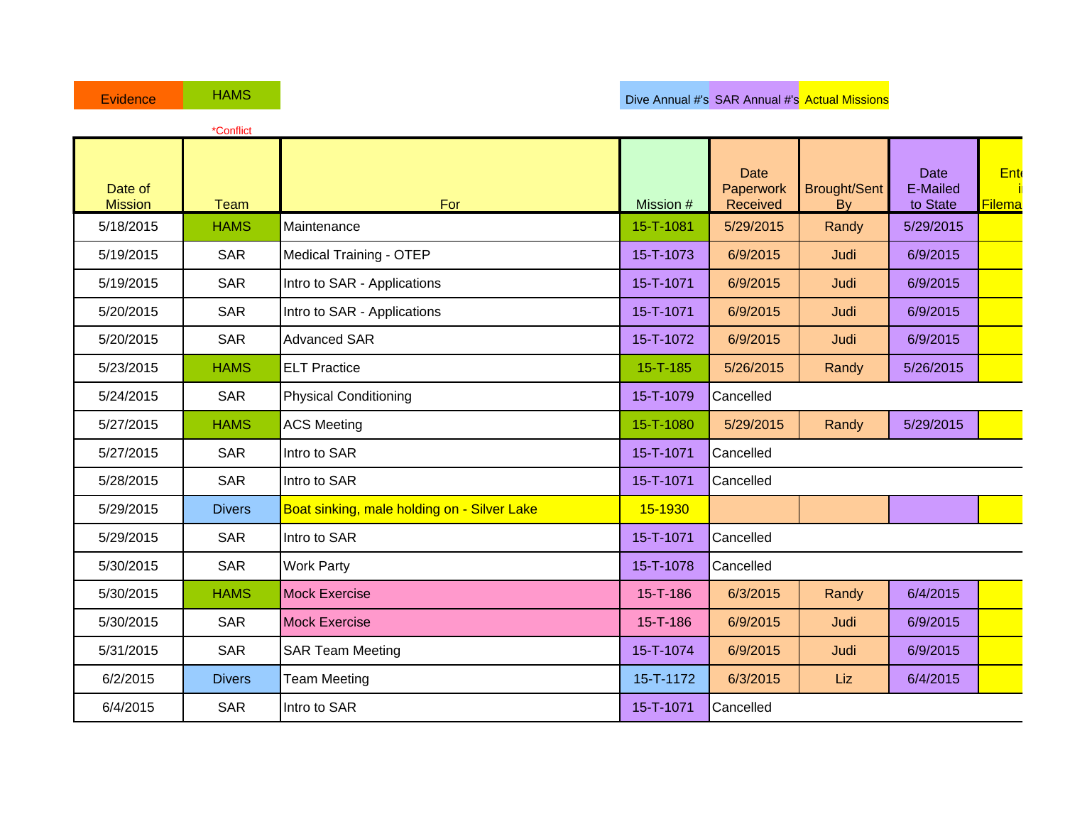|                           | *Conflict     |                                             |                |                                      |                                  |                                     |                      |
|---------------------------|---------------|---------------------------------------------|----------------|--------------------------------------|----------------------------------|-------------------------------------|----------------------|
| Date of<br><b>Mission</b> | <b>Team</b>   | For                                         | Mission #      | <b>Date</b><br>Paperwork<br>Received | <b>Brought/Sent</b><br><b>By</b> | <b>Date</b><br>E-Mailed<br>to State | Ent<br><b>Filema</b> |
| 5/18/2015                 | <b>HAMS</b>   | Maintenance                                 | 15-T-1081      | 5/29/2015                            | Randy                            | 5/29/2015                           |                      |
| 5/19/2015                 | <b>SAR</b>    | <b>Medical Training - OTEP</b>              | 15-T-1073      | 6/9/2015                             | Judi                             | 6/9/2015                            |                      |
| 5/19/2015                 | <b>SAR</b>    | Intro to SAR - Applications                 | 15-T-1071      | 6/9/2015                             | Judi                             | 6/9/2015                            |                      |
| 5/20/2015                 | <b>SAR</b>    | Intro to SAR - Applications                 | 15-T-1071      | 6/9/2015                             | Judi                             | 6/9/2015                            |                      |
| 5/20/2015                 | <b>SAR</b>    | <b>Advanced SAR</b>                         | 15-T-1072      | 6/9/2015                             | Judi                             | 6/9/2015                            |                      |
| 5/23/2015                 | <b>HAMS</b>   | <b>ELT Practice</b>                         | $15 - T - 185$ | 5/26/2015                            | Randy                            | 5/26/2015                           |                      |
| 5/24/2015                 | <b>SAR</b>    | <b>Physical Conditioning</b>                | 15-T-1079      | Cancelled                            |                                  |                                     |                      |
| 5/27/2015                 | <b>HAMS</b>   | <b>ACS Meeting</b>                          | 15-T-1080      | 5/29/2015                            | Randy                            | 5/29/2015                           |                      |
| 5/27/2015                 | <b>SAR</b>    | Intro to SAR                                | 15-T-1071      | Cancelled                            |                                  |                                     |                      |
| 5/28/2015                 | <b>SAR</b>    | Intro to SAR                                | 15-T-1071      | Cancelled                            |                                  |                                     |                      |
| 5/29/2015                 | <b>Divers</b> | Boat sinking, male holding on - Silver Lake | 15-1930        |                                      |                                  |                                     |                      |
| 5/29/2015                 | <b>SAR</b>    | Intro to SAR                                | 15-T-1071      | Cancelled                            |                                  |                                     |                      |
| 5/30/2015                 | <b>SAR</b>    | <b>Work Party</b>                           | 15-T-1078      | Cancelled                            |                                  |                                     |                      |
| 5/30/2015                 | <b>HAMS</b>   | <b>Mock Exercise</b>                        | 15-T-186       | 6/3/2015                             | Randy                            | 6/4/2015                            |                      |
| 5/30/2015                 | <b>SAR</b>    | <b>Mock Exercise</b>                        | 15-T-186       | 6/9/2015                             | Judi                             | 6/9/2015                            |                      |
| 5/31/2015                 | <b>SAR</b>    | <b>SAR Team Meeting</b>                     | 15-T-1074      | 6/9/2015                             | Judi                             | 6/9/2015                            |                      |
| 6/2/2015                  | <b>Divers</b> | <b>Team Meeting</b>                         | 15-T-1172      | 6/3/2015                             | Liz                              | 6/4/2015                            |                      |
| 6/4/2015                  | <b>SAR</b>    | Intro to SAR                                | 15-T-1071      | Cancelled                            |                                  |                                     |                      |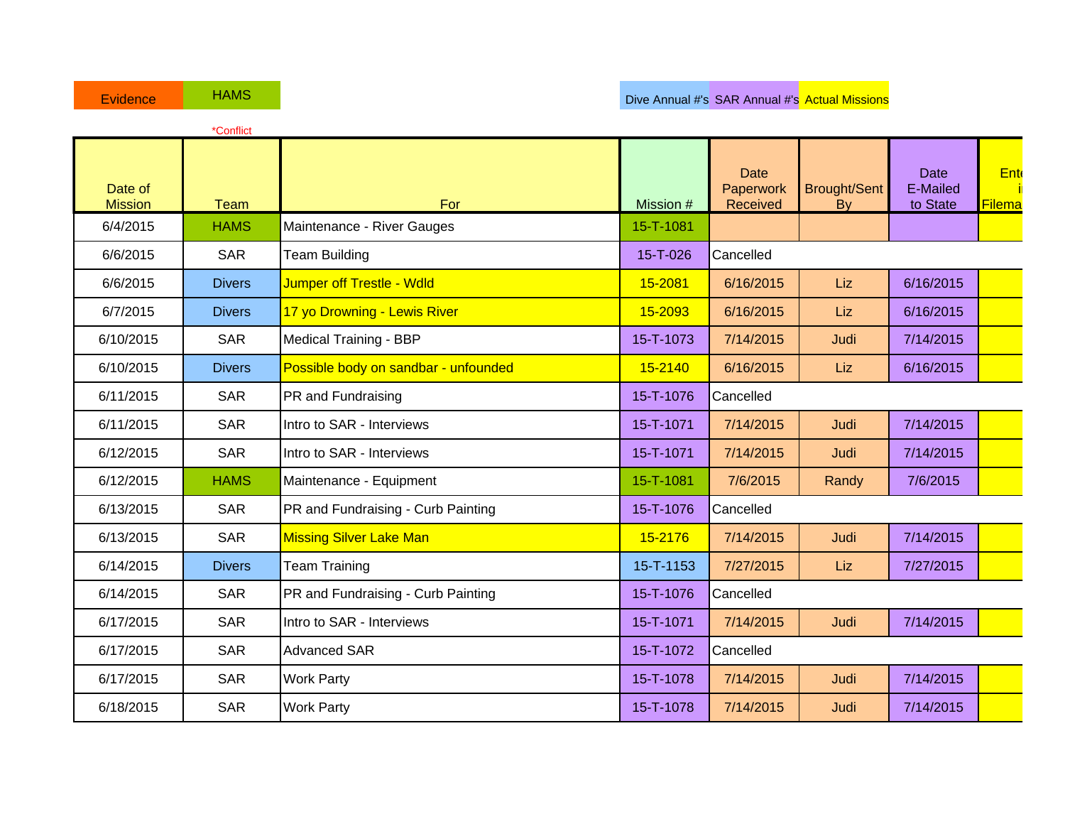|                           | *Conflict     |                                      |           |                                      |                                  |                                     |               |
|---------------------------|---------------|--------------------------------------|-----------|--------------------------------------|----------------------------------|-------------------------------------|---------------|
| Date of<br><b>Mission</b> | <b>Team</b>   | For                                  | Mission # | <b>Date</b><br>Paperwork<br>Received | <b>Brought/Sent</b><br><b>By</b> | <b>Date</b><br>E-Mailed<br>to State | Ent<br>Filema |
| 6/4/2015                  | <b>HAMS</b>   | Maintenance - River Gauges           | 15-T-1081 |                                      |                                  |                                     |               |
| 6/6/2015                  | <b>SAR</b>    | <b>Team Building</b>                 | 15-T-026  | Cancelled                            |                                  |                                     |               |
| 6/6/2015                  | <b>Divers</b> | Jumper off Trestle - Wdld            | 15-2081   | 6/16/2015                            | Liz                              | 6/16/2015                           |               |
| 6/7/2015                  | <b>Divers</b> | 17 yo Drowning - Lewis River         | 15-2093   | 6/16/2015                            | Liz                              | 6/16/2015                           |               |
| 6/10/2015                 | <b>SAR</b>    | <b>Medical Training - BBP</b>        | 15-T-1073 | 7/14/2015                            | Judi                             | 7/14/2015                           |               |
| 6/10/2015                 | <b>Divers</b> | Possible body on sandbar - unfounded | 15-2140   | 6/16/2015                            | Liz                              | 6/16/2015                           |               |
| 6/11/2015                 | <b>SAR</b>    | PR and Fundraising                   | 15-T-1076 | Cancelled                            |                                  |                                     |               |
| 6/11/2015                 | <b>SAR</b>    | Intro to SAR - Interviews            | 15-T-1071 | 7/14/2015                            | Judi                             | 7/14/2015                           |               |
| 6/12/2015                 | <b>SAR</b>    | Intro to SAR - Interviews            | 15-T-1071 | 7/14/2015                            | Judi                             | 7/14/2015                           |               |
| 6/12/2015                 | <b>HAMS</b>   | Maintenance - Equipment              | 15-T-1081 | 7/6/2015                             | Randy                            | 7/6/2015                            |               |
| 6/13/2015                 | <b>SAR</b>    | PR and Fundraising - Curb Painting   | 15-T-1076 | Cancelled                            |                                  |                                     |               |
| 6/13/2015                 | <b>SAR</b>    | <b>Missing Silver Lake Man</b>       | 15-2176   | 7/14/2015                            | Judi                             | 7/14/2015                           |               |
| 6/14/2015                 | <b>Divers</b> | <b>Team Training</b>                 | 15-T-1153 | 7/27/2015                            | Liz                              | 7/27/2015                           |               |
| 6/14/2015                 | <b>SAR</b>    | PR and Fundraising - Curb Painting   | 15-T-1076 | Cancelled                            |                                  |                                     |               |
| 6/17/2015                 | <b>SAR</b>    | Intro to SAR - Interviews            | 15-T-1071 | 7/14/2015                            | Judi                             | 7/14/2015                           |               |
| 6/17/2015                 | <b>SAR</b>    | <b>Advanced SAR</b>                  | 15-T-1072 | Cancelled                            |                                  |                                     |               |
| 6/17/2015                 | <b>SAR</b>    | <b>Work Party</b>                    | 15-T-1078 | 7/14/2015                            | Judi                             | 7/14/2015                           |               |
| 6/18/2015                 | <b>SAR</b>    | <b>Work Party</b>                    | 15-T-1078 | 7/14/2015                            | Judi                             | 7/14/2015                           |               |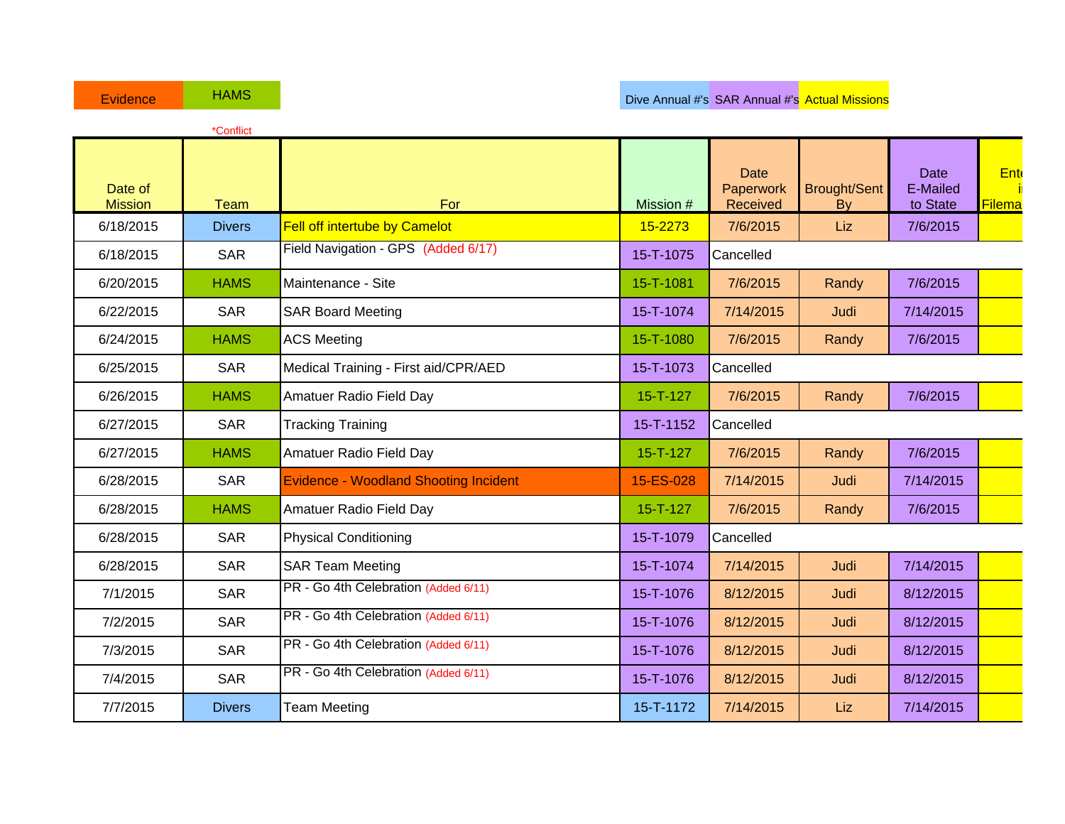|                           | *Conflict     |                                              |                 |                                      |                           |                                     |                      |
|---------------------------|---------------|----------------------------------------------|-----------------|--------------------------------------|---------------------------|-------------------------------------|----------------------|
| Date of<br><b>Mission</b> | <b>Team</b>   | For                                          | Mission #       | <b>Date</b><br>Paperwork<br>Received | <b>Brought/Sent</b><br>By | <b>Date</b><br>E-Mailed<br>to State | <b>Ent</b><br>Filema |
| 6/18/2015                 | <b>Divers</b> | <b>Fell off intertube by Camelot</b>         | 15-2273         | 7/6/2015                             | Liz                       | 7/6/2015                            |                      |
| 6/18/2015                 | <b>SAR</b>    | Field Navigation - GPS (Added 6/17)          | 15-T-1075       | Cancelled                            |                           |                                     |                      |
| 6/20/2015                 | <b>HAMS</b>   | Maintenance - Site                           | 15-T-1081       | 7/6/2015                             | Randy                     | 7/6/2015                            |                      |
| 6/22/2015                 | <b>SAR</b>    | <b>SAR Board Meeting</b>                     | 15-T-1074       | 7/14/2015                            | Judi                      | 7/14/2015                           |                      |
| 6/24/2015                 | <b>HAMS</b>   | <b>ACS Meeting</b>                           | 15-T-1080       | 7/6/2015                             | Randy                     | 7/6/2015                            |                      |
| 6/25/2015                 | <b>SAR</b>    | Medical Training - First aid/CPR/AED         | 15-T-1073       | Cancelled                            |                           |                                     |                      |
| 6/26/2015                 | <b>HAMS</b>   | Amatuer Radio Field Day                      | $15 - T - 127$  | 7/6/2015                             | Randy                     | 7/6/2015                            |                      |
| 6/27/2015                 | <b>SAR</b>    | <b>Tracking Training</b>                     | $15 - T - 1152$ | Cancelled                            |                           |                                     |                      |
| 6/27/2015                 | <b>HAMS</b>   | Amatuer Radio Field Day                      | $15 - T - 127$  | 7/6/2015                             | Randy                     | 7/6/2015                            |                      |
| 6/28/2015                 | <b>SAR</b>    | <b>Evidence - Woodland Shooting Incident</b> | 15-ES-028       | 7/14/2015                            | Judi                      | 7/14/2015                           |                      |
| 6/28/2015                 | <b>HAMS</b>   | Amatuer Radio Field Day                      | $15 - T - 127$  | 7/6/2015                             | Randy                     | 7/6/2015                            |                      |
| 6/28/2015                 | <b>SAR</b>    | <b>Physical Conditioning</b>                 | 15-T-1079       | Cancelled                            |                           |                                     |                      |
| 6/28/2015                 | <b>SAR</b>    | <b>SAR Team Meeting</b>                      | 15-T-1074       | 7/14/2015                            | Judi                      | 7/14/2015                           |                      |
| 7/1/2015                  | <b>SAR</b>    | PR - Go 4th Celebration (Added 6/11)         | 15-T-1076       | 8/12/2015                            | Judi                      | 8/12/2015                           |                      |
| 7/2/2015                  | <b>SAR</b>    | PR - Go 4th Celebration (Added 6/11)         | 15-T-1076       | 8/12/2015                            | Judi                      | 8/12/2015                           |                      |
| 7/3/2015                  | <b>SAR</b>    | PR - Go 4th Celebration (Added 6/11)         | 15-T-1076       | 8/12/2015                            | Judi                      | 8/12/2015                           |                      |
| 7/4/2015                  | <b>SAR</b>    | PR - Go 4th Celebration (Added 6/11)         | 15-T-1076       | 8/12/2015                            | Judi                      | 8/12/2015                           |                      |
| 7/7/2015                  | <b>Divers</b> | <b>Team Meeting</b>                          | 15-T-1172       | 7/14/2015                            | Liz                       | 7/14/2015                           |                      |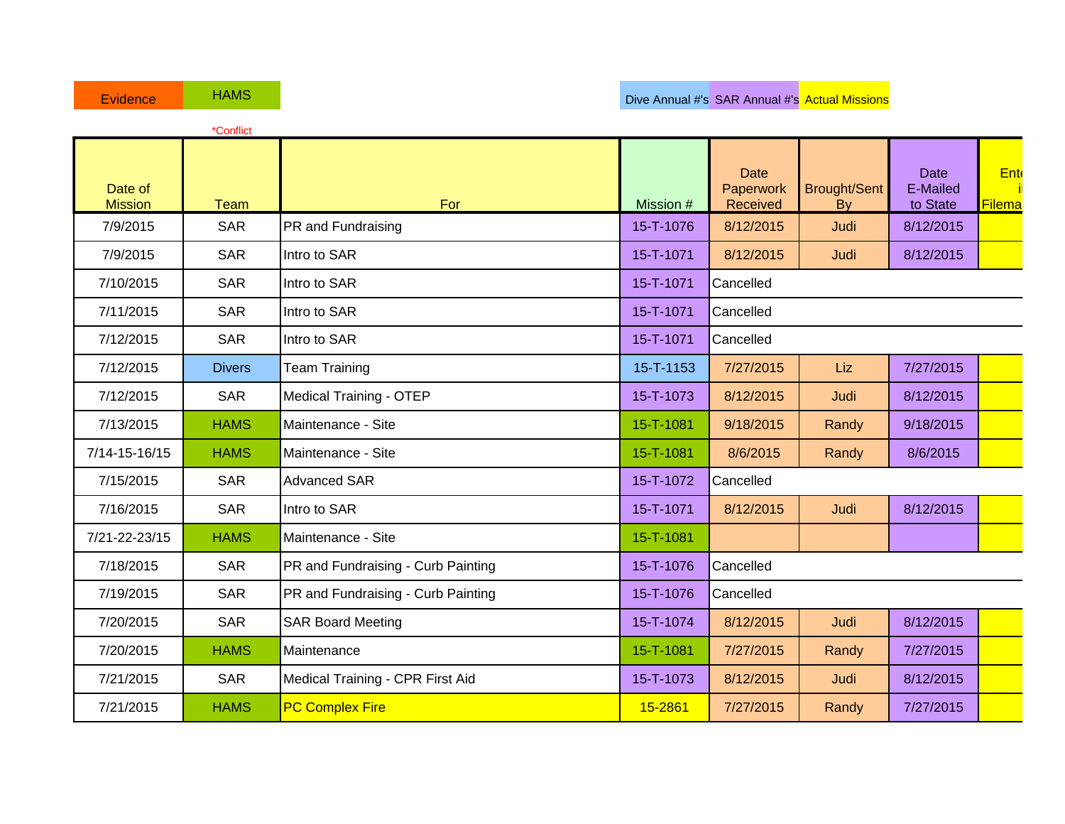|                           | *Conflict     |                                    |           |                               |                           |                                     |               |
|---------------------------|---------------|------------------------------------|-----------|-------------------------------|---------------------------|-------------------------------------|---------------|
| Date of<br><b>Mission</b> | <b>Team</b>   | For                                | Mission # | Date<br>Paperwork<br>Received | <b>Brought/Sent</b><br>By | <b>Date</b><br>E-Mailed<br>to State | Ent<br>Filema |
| 7/9/2015                  | <b>SAR</b>    | PR and Fundraising                 | 15-T-1076 | 8/12/2015                     | Judi                      | 8/12/2015                           |               |
| 7/9/2015                  | <b>SAR</b>    | Intro to SAR                       | 15-T-1071 | 8/12/2015                     | Judi                      | 8/12/2015                           |               |
| 7/10/2015                 | <b>SAR</b>    | Intro to SAR                       | 15-T-1071 | Cancelled                     |                           |                                     |               |
| 7/11/2015                 | <b>SAR</b>    | Intro to SAR                       | 15-T-1071 | Cancelled                     |                           |                                     |               |
| 7/12/2015                 | <b>SAR</b>    | Intro to SAR                       | 15-T-1071 | Cancelled                     |                           |                                     |               |
| 7/12/2015                 | <b>Divers</b> | <b>Team Training</b>               | 15-T-1153 | 7/27/2015                     | Liz                       | 7/27/2015                           |               |
| 7/12/2015                 | <b>SAR</b>    | <b>Medical Training - OTEP</b>     | 15-T-1073 | 8/12/2015                     | Judi                      | 8/12/2015                           |               |
| 7/13/2015                 | <b>HAMS</b>   | Maintenance - Site                 | 15-T-1081 | 9/18/2015                     | Randy                     | 9/18/2015                           |               |
| 7/14-15-16/15             | <b>HAMS</b>   | Maintenance - Site                 | 15-T-1081 | 8/6/2015                      | Randy                     | 8/6/2015                            |               |
| 7/15/2015                 | <b>SAR</b>    | <b>Advanced SAR</b>                | 15-T-1072 | Cancelled                     |                           |                                     |               |
| 7/16/2015                 | <b>SAR</b>    | Intro to SAR                       | 15-T-1071 | 8/12/2015                     | Judi                      | 8/12/2015                           |               |
| 7/21-22-23/15             | <b>HAMS</b>   | Maintenance - Site                 | 15-T-1081 |                               |                           |                                     |               |
| 7/18/2015                 | <b>SAR</b>    | PR and Fundraising - Curb Painting | 15-T-1076 | Cancelled                     |                           |                                     |               |
| 7/19/2015                 | <b>SAR</b>    | PR and Fundraising - Curb Painting | 15-T-1076 | Cancelled                     |                           |                                     |               |
| 7/20/2015                 | <b>SAR</b>    | <b>SAR Board Meeting</b>           | 15-T-1074 | 8/12/2015                     | Judi                      | 8/12/2015                           |               |
| 7/20/2015                 | <b>HAMS</b>   | Maintenance                        | 15-T-1081 | 7/27/2015                     | Randy                     | 7/27/2015                           |               |
| 7/21/2015                 | <b>SAR</b>    | Medical Training - CPR First Aid   | 15-T-1073 | 8/12/2015                     | Judi                      | 8/12/2015                           |               |
| 7/21/2015                 | <b>HAMS</b>   | <b>PC Complex Fire</b>             | 15-2861   | 7/27/2015                     | Randy                     | 7/27/2015                           |               |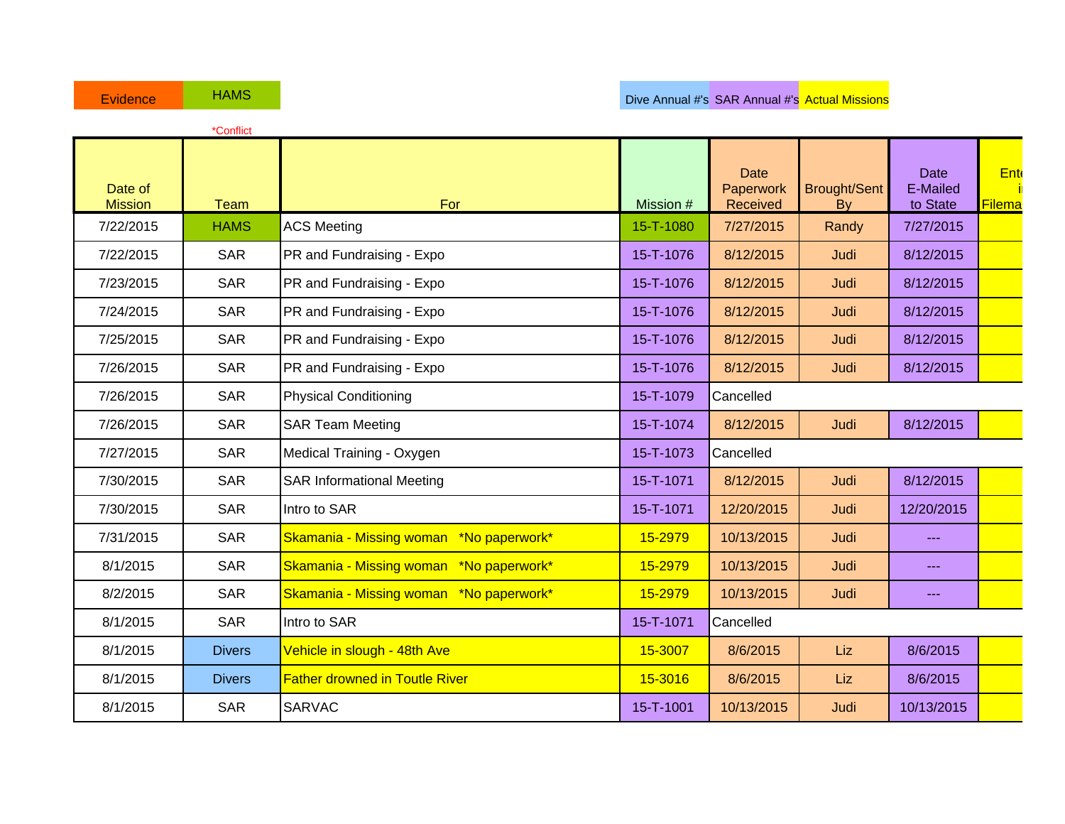|                           | *Conflict     |                                         |           |                                      |                                  |                                                                                                                                                                                                                                                                                                                                                                                              |                      |
|---------------------------|---------------|-----------------------------------------|-----------|--------------------------------------|----------------------------------|----------------------------------------------------------------------------------------------------------------------------------------------------------------------------------------------------------------------------------------------------------------------------------------------------------------------------------------------------------------------------------------------|----------------------|
| Date of<br><b>Mission</b> | <b>Team</b>   | For                                     | Mission # | <b>Date</b><br>Paperwork<br>Received | <b>Brought/Sent</b><br><b>By</b> | <b>Date</b><br>E-Mailed<br>to State                                                                                                                                                                                                                                                                                                                                                          | Ent<br><b>Filema</b> |
| 7/22/2015                 | <b>HAMS</b>   | <b>ACS Meeting</b>                      | 15-T-1080 | 7/27/2015                            | Randy                            | 7/27/2015                                                                                                                                                                                                                                                                                                                                                                                    |                      |
| 7/22/2015                 | <b>SAR</b>    | PR and Fundraising - Expo               | 15-T-1076 | 8/12/2015                            | Judi                             | 8/12/2015                                                                                                                                                                                                                                                                                                                                                                                    |                      |
| 7/23/2015                 | <b>SAR</b>    | PR and Fundraising - Expo               | 15-T-1076 | 8/12/2015                            | Judi                             | 8/12/2015                                                                                                                                                                                                                                                                                                                                                                                    |                      |
| 7/24/2015                 | <b>SAR</b>    | PR and Fundraising - Expo               | 15-T-1076 | 8/12/2015                            | Judi                             | 8/12/2015                                                                                                                                                                                                                                                                                                                                                                                    |                      |
| 7/25/2015                 | <b>SAR</b>    | PR and Fundraising - Expo               | 15-T-1076 | 8/12/2015                            | Judi                             | 8/12/2015                                                                                                                                                                                                                                                                                                                                                                                    |                      |
| 7/26/2015                 | <b>SAR</b>    | PR and Fundraising - Expo               | 15-T-1076 | 8/12/2015                            | Judi                             | 8/12/2015                                                                                                                                                                                                                                                                                                                                                                                    |                      |
| 7/26/2015                 | <b>SAR</b>    | <b>Physical Conditioning</b>            | 15-T-1079 | Cancelled                            |                                  |                                                                                                                                                                                                                                                                                                                                                                                              |                      |
| 7/26/2015                 | <b>SAR</b>    | <b>SAR Team Meeting</b>                 | 15-T-1074 | 8/12/2015                            | Judi                             | 8/12/2015                                                                                                                                                                                                                                                                                                                                                                                    |                      |
| 7/27/2015                 | <b>SAR</b>    | Medical Training - Oxygen               | 15-T-1073 | Cancelled                            |                                  |                                                                                                                                                                                                                                                                                                                                                                                              |                      |
| 7/30/2015                 | <b>SAR</b>    | <b>SAR Informational Meeting</b>        | 15-T-1071 | 8/12/2015                            | Judi                             | 8/12/2015                                                                                                                                                                                                                                                                                                                                                                                    |                      |
| 7/30/2015                 | <b>SAR</b>    | Intro to SAR                            | 15-T-1071 | 12/20/2015                           | Judi                             | 12/20/2015                                                                                                                                                                                                                                                                                                                                                                                   |                      |
| 7/31/2015                 | <b>SAR</b>    | Skamania - Missing woman *No paperwork* | 15-2979   | 10/13/2015                           | Judi                             | $- - -$                                                                                                                                                                                                                                                                                                                                                                                      |                      |
| 8/1/2015                  | <b>SAR</b>    | Skamania - Missing woman *No paperwork* | 15-2979   | 10/13/2015                           | Judi                             | $\frac{1}{2} \frac{1}{2} \frac{1}{2} \frac{1}{2} \frac{1}{2} \frac{1}{2} \frac{1}{2} \frac{1}{2} \frac{1}{2} \frac{1}{2} \frac{1}{2} \frac{1}{2} \frac{1}{2} \frac{1}{2} \frac{1}{2} \frac{1}{2} \frac{1}{2} \frac{1}{2} \frac{1}{2} \frac{1}{2} \frac{1}{2} \frac{1}{2} \frac{1}{2} \frac{1}{2} \frac{1}{2} \frac{1}{2} \frac{1}{2} \frac{1}{2} \frac{1}{2} \frac{1}{2} \frac{1}{2} \frac{$ |                      |
| 8/2/2015                  | <b>SAR</b>    | Skamania - Missing woman *No paperwork* | 15-2979   | 10/13/2015                           | Judi                             | $- - -$                                                                                                                                                                                                                                                                                                                                                                                      |                      |
| 8/1/2015                  | <b>SAR</b>    | Intro to SAR                            | 15-T-1071 | Cancelled                            |                                  |                                                                                                                                                                                                                                                                                                                                                                                              |                      |
| 8/1/2015                  | <b>Divers</b> | Vehicle in slough - 48th Ave            | 15-3007   | 8/6/2015                             | Liz                              | 8/6/2015                                                                                                                                                                                                                                                                                                                                                                                     |                      |
| 8/1/2015                  | <b>Divers</b> | <b>Father drowned in Toutle River</b>   | 15-3016   | 8/6/2015                             | Liz                              | 8/6/2015                                                                                                                                                                                                                                                                                                                                                                                     |                      |
| 8/1/2015                  | <b>SAR</b>    | <b>SARVAC</b>                           | 15-T-1001 | 10/13/2015                           | Judi                             | 10/13/2015                                                                                                                                                                                                                                                                                                                                                                                   |                      |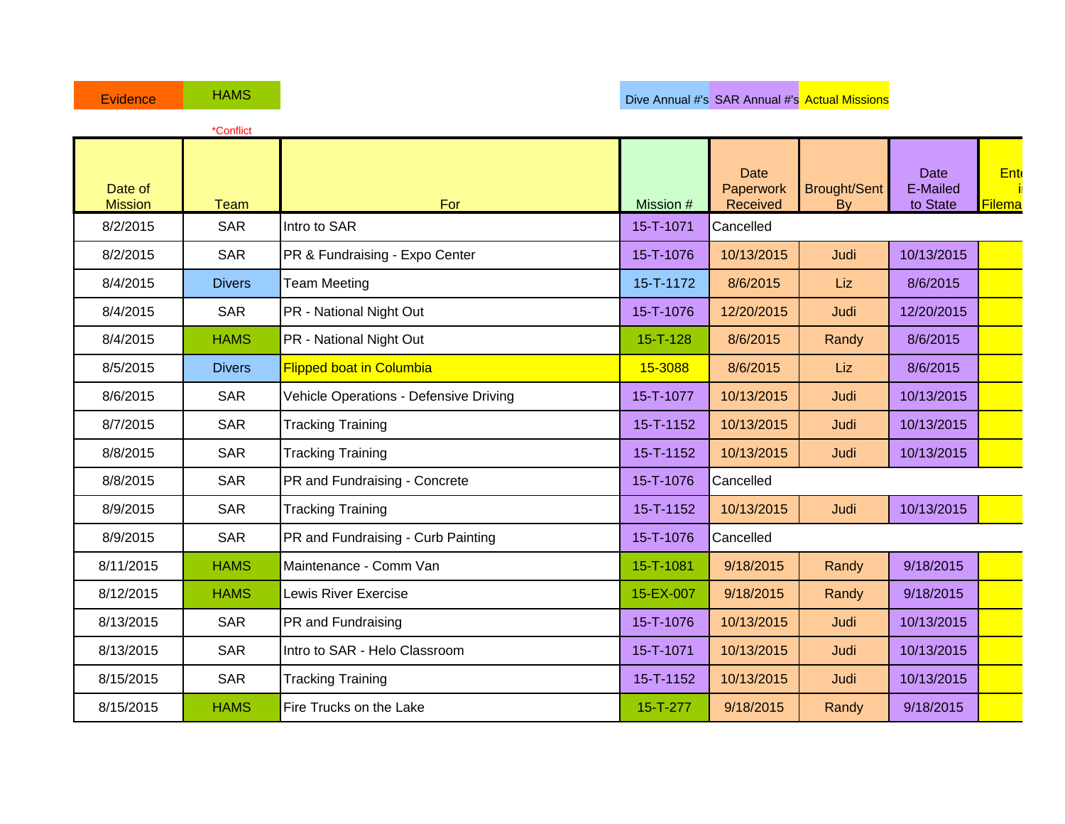|                           | *Conflict     |                                        |                |                                      |                           |                                     |               |
|---------------------------|---------------|----------------------------------------|----------------|--------------------------------------|---------------------------|-------------------------------------|---------------|
| Date of<br><b>Mission</b> | Team          | For                                    | Mission #      | <b>Date</b><br>Paperwork<br>Received | <b>Brought/Sent</b><br>By | <b>Date</b><br>E-Mailed<br>to State | Ent<br>Filema |
| 8/2/2015                  | <b>SAR</b>    | Intro to SAR                           | 15-T-1071      | Cancelled                            |                           |                                     |               |
| 8/2/2015                  | <b>SAR</b>    | PR & Fundraising - Expo Center         | 15-T-1076      | 10/13/2015                           | Judi                      | 10/13/2015                          |               |
| 8/4/2015                  | <b>Divers</b> | <b>Team Meeting</b>                    | 15-T-1172      | 8/6/2015                             | Liz                       | 8/6/2015                            |               |
| 8/4/2015                  | <b>SAR</b>    | PR - National Night Out                | 15-T-1076      | 12/20/2015                           | Judi                      | 12/20/2015                          |               |
| 8/4/2015                  | <b>HAMS</b>   | PR - National Night Out                | $15 - T - 128$ | 8/6/2015                             | Randy                     | 8/6/2015                            |               |
| 8/5/2015                  | <b>Divers</b> | <b>Flipped boat in Columbia</b>        | 15-3088        | 8/6/2015                             | Liz                       | 8/6/2015                            |               |
| 8/6/2015                  | <b>SAR</b>    | Vehicle Operations - Defensive Driving | 15-T-1077      | 10/13/2015                           | Judi                      | 10/13/2015                          |               |
| 8/7/2015                  | <b>SAR</b>    | <b>Tracking Training</b>               | 15-T-1152      | 10/13/2015                           | Judi                      | 10/13/2015                          |               |
| 8/8/2015                  | <b>SAR</b>    | <b>Tracking Training</b>               | 15-T-1152      | 10/13/2015                           | Judi                      | 10/13/2015                          |               |
| 8/8/2015                  | <b>SAR</b>    | PR and Fundraising - Concrete          | 15-T-1076      | Cancelled                            |                           |                                     |               |
| 8/9/2015                  | <b>SAR</b>    | <b>Tracking Training</b>               | 15-T-1152      | 10/13/2015                           | Judi                      | 10/13/2015                          |               |
| 8/9/2015                  | <b>SAR</b>    | PR and Fundraising - Curb Painting     | 15-T-1076      | Cancelled                            |                           |                                     |               |
| 8/11/2015                 | <b>HAMS</b>   | Maintenance - Comm Van                 | 15-T-1081      | 9/18/2015                            | Randy                     | 9/18/2015                           |               |
| 8/12/2015                 | <b>HAMS</b>   | <b>Lewis River Exercise</b>            | 15-EX-007      | 9/18/2015                            | Randy                     | 9/18/2015                           |               |
| 8/13/2015                 | <b>SAR</b>    | <b>PR</b> and Fundraising              | 15-T-1076      | 10/13/2015                           | Judi                      | 10/13/2015                          |               |
| 8/13/2015                 | <b>SAR</b>    | Intro to SAR - Helo Classroom          | 15-T-1071      | 10/13/2015                           | Judi                      | 10/13/2015                          |               |
| 8/15/2015                 | <b>SAR</b>    | <b>Tracking Training</b>               | 15-T-1152      | 10/13/2015                           | Judi                      | 10/13/2015                          |               |
| 8/15/2015                 | <b>HAMS</b>   | Fire Trucks on the Lake                | 15-T-277       | 9/18/2015                            | Randy                     | 9/18/2015                           |               |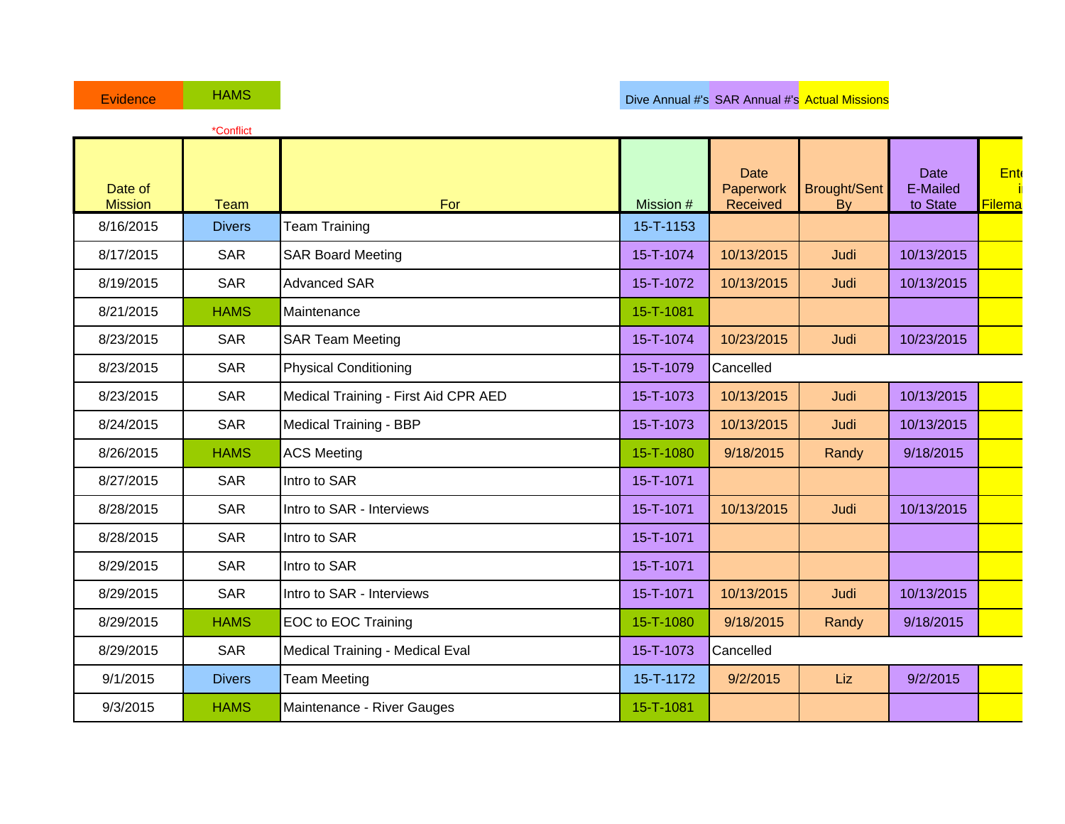|                           | *Conflict     |                                      |           |                                      |                                  |                                     |               |
|---------------------------|---------------|--------------------------------------|-----------|--------------------------------------|----------------------------------|-------------------------------------|---------------|
| Date of<br><b>Mission</b> | <b>Team</b>   | For                                  | Mission # | <b>Date</b><br>Paperwork<br>Received | <b>Brought/Sent</b><br><b>By</b> | <b>Date</b><br>E-Mailed<br>to State | Ent<br>Filema |
| 8/16/2015                 | <b>Divers</b> | <b>Team Training</b>                 | 15-T-1153 |                                      |                                  |                                     |               |
| 8/17/2015                 | <b>SAR</b>    | <b>SAR Board Meeting</b>             | 15-T-1074 | 10/13/2015                           | Judi                             | 10/13/2015                          |               |
| 8/19/2015                 | <b>SAR</b>    | <b>Advanced SAR</b>                  | 15-T-1072 | 10/13/2015                           | Judi                             | 10/13/2015                          |               |
| 8/21/2015                 | <b>HAMS</b>   | Maintenance                          | 15-T-1081 |                                      |                                  |                                     |               |
| 8/23/2015                 | <b>SAR</b>    | <b>SAR Team Meeting</b>              | 15-T-1074 | 10/23/2015                           | Judi                             | 10/23/2015                          |               |
| 8/23/2015                 | <b>SAR</b>    | <b>Physical Conditioning</b>         | 15-T-1079 | Cancelled                            |                                  |                                     |               |
| 8/23/2015                 | <b>SAR</b>    | Medical Training - First Aid CPR AED | 15-T-1073 | 10/13/2015                           | Judi                             | 10/13/2015                          |               |
| 8/24/2015                 | <b>SAR</b>    | Medical Training - BBP               | 15-T-1073 | 10/13/2015                           | Judi                             | 10/13/2015                          |               |
| 8/26/2015                 | <b>HAMS</b>   | <b>ACS Meeting</b>                   | 15-T-1080 | 9/18/2015                            | Randy                            | 9/18/2015                           |               |
| 8/27/2015                 | <b>SAR</b>    | Intro to SAR                         | 15-T-1071 |                                      |                                  |                                     |               |
| 8/28/2015                 | <b>SAR</b>    | Intro to SAR - Interviews            | 15-T-1071 | 10/13/2015                           | Judi                             | 10/13/2015                          |               |
| 8/28/2015                 | <b>SAR</b>    | Intro to SAR                         | 15-T-1071 |                                      |                                  |                                     |               |
| 8/29/2015                 | <b>SAR</b>    | Intro to SAR                         | 15-T-1071 |                                      |                                  |                                     |               |
| 8/29/2015                 | <b>SAR</b>    | Intro to SAR - Interviews            | 15-T-1071 | 10/13/2015                           | Judi                             | 10/13/2015                          |               |
| 8/29/2015                 | <b>HAMS</b>   | EOC to EOC Training                  | 15-T-1080 | 9/18/2015                            | Randy                            | 9/18/2015                           |               |
| 8/29/2015                 | <b>SAR</b>    | Medical Training - Medical Eval      | 15-T-1073 | Cancelled                            |                                  |                                     |               |
| 9/1/2015                  | <b>Divers</b> | <b>Team Meeting</b>                  | 15-T-1172 | 9/2/2015                             | Liz                              | 9/2/2015                            |               |
| 9/3/2015                  | <b>HAMS</b>   | Maintenance - River Gauges           | 15-T-1081 |                                      |                                  |                                     |               |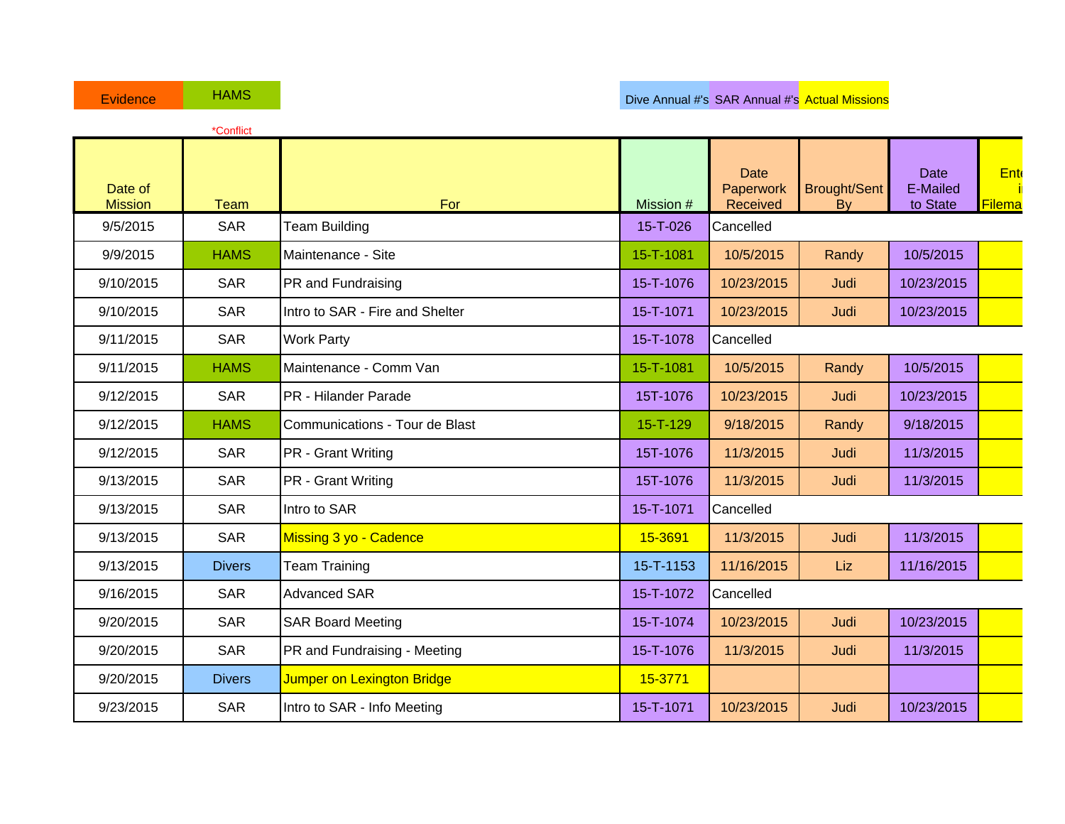|                           | *Conflict     |                                 |           |                                      |                                  |                                     |               |
|---------------------------|---------------|---------------------------------|-----------|--------------------------------------|----------------------------------|-------------------------------------|---------------|
| Date of<br><b>Mission</b> | <b>Team</b>   | For                             | Mission # | <b>Date</b><br>Paperwork<br>Received | <b>Brought/Sent</b><br><b>By</b> | <b>Date</b><br>E-Mailed<br>to State | Ent<br>Filema |
| 9/5/2015                  | <b>SAR</b>    | <b>Team Building</b>            | 15-T-026  | Cancelled                            |                                  |                                     |               |
| 9/9/2015                  | <b>HAMS</b>   | Maintenance - Site              | 15-T-1081 | 10/5/2015                            | Randy                            | 10/5/2015                           |               |
| 9/10/2015                 | <b>SAR</b>    | PR and Fundraising              | 15-T-1076 | 10/23/2015                           | Judi                             | 10/23/2015                          |               |
| 9/10/2015                 | <b>SAR</b>    | Intro to SAR - Fire and Shelter | 15-T-1071 | 10/23/2015                           | Judi                             | 10/23/2015                          |               |
| 9/11/2015                 | <b>SAR</b>    | <b>Work Party</b>               | 15-T-1078 | Cancelled                            |                                  |                                     |               |
| 9/11/2015                 | <b>HAMS</b>   | Maintenance - Comm Van          | 15-T-1081 | 10/5/2015                            | Randy                            | 10/5/2015                           |               |
| 9/12/2015                 | <b>SAR</b>    | PR - Hilander Parade            | 15T-1076  | 10/23/2015                           | Judi                             | 10/23/2015                          |               |
| 9/12/2015                 | <b>HAMS</b>   | Communications - Tour de Blast  | 15-T-129  | 9/18/2015                            | Randy                            | 9/18/2015                           |               |
| 9/12/2015                 | <b>SAR</b>    | PR - Grant Writing              | 15T-1076  | 11/3/2015                            | Judi                             | 11/3/2015                           |               |
| 9/13/2015                 | <b>SAR</b>    | PR - Grant Writing              | 15T-1076  | 11/3/2015                            | Judi                             | 11/3/2015                           |               |
| 9/13/2015                 | <b>SAR</b>    | Intro to SAR                    | 15-T-1071 | Cancelled                            |                                  |                                     |               |
| 9/13/2015                 | <b>SAR</b>    | Missing 3 yo - Cadence          | 15-3691   | 11/3/2015                            | Judi                             | 11/3/2015                           |               |
| 9/13/2015                 | <b>Divers</b> | <b>Team Training</b>            | 15-T-1153 | 11/16/2015                           | Liz                              | 11/16/2015                          |               |
| 9/16/2015                 | <b>SAR</b>    | <b>Advanced SAR</b>             | 15-T-1072 | Cancelled                            |                                  |                                     |               |
| 9/20/2015                 | <b>SAR</b>    | <b>SAR Board Meeting</b>        | 15-T-1074 | 10/23/2015                           | Judi                             | 10/23/2015                          |               |
| 9/20/2015                 | <b>SAR</b>    | PR and Fundraising - Meeting    | 15-T-1076 | 11/3/2015                            | Judi                             | 11/3/2015                           |               |
| 9/20/2015                 | <b>Divers</b> | Jumper on Lexington Bridge      | 15-3771   |                                      |                                  |                                     |               |
| 9/23/2015                 | <b>SAR</b>    | Intro to SAR - Info Meeting     | 15-T-1071 | 10/23/2015                           | Judi                             | 10/23/2015                          |               |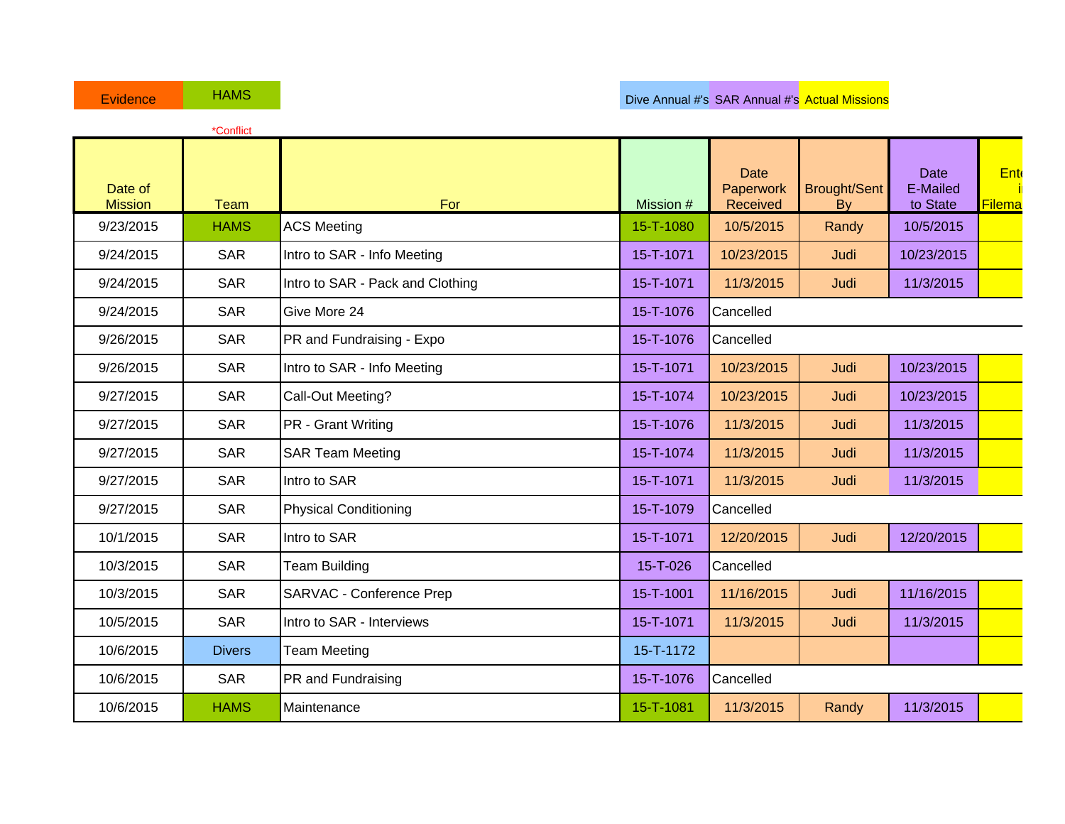|                           | *Conflict     |                                  |           |                                      |                           |                                     |               |
|---------------------------|---------------|----------------------------------|-----------|--------------------------------------|---------------------------|-------------------------------------|---------------|
| Date of<br><b>Mission</b> | <b>Team</b>   | For                              | Mission # | <b>Date</b><br>Paperwork<br>Received | <b>Brought/Sent</b><br>By | <b>Date</b><br>E-Mailed<br>to State | Ent<br>Filema |
| 9/23/2015                 | <b>HAMS</b>   | <b>ACS Meeting</b>               | 15-T-1080 | 10/5/2015                            | Randy                     | 10/5/2015                           |               |
| 9/24/2015                 | <b>SAR</b>    | Intro to SAR - Info Meeting      | 15-T-1071 | 10/23/2015                           | Judi                      | 10/23/2015                          |               |
| 9/24/2015                 | <b>SAR</b>    | Intro to SAR - Pack and Clothing | 15-T-1071 | 11/3/2015                            | Judi                      | 11/3/2015                           |               |
| 9/24/2015                 | <b>SAR</b>    | Give More 24                     | 15-T-1076 | Cancelled                            |                           |                                     |               |
| 9/26/2015                 | <b>SAR</b>    | PR and Fundraising - Expo        | 15-T-1076 | Cancelled                            |                           |                                     |               |
| 9/26/2015                 | <b>SAR</b>    | Intro to SAR - Info Meeting      | 15-T-1071 | 10/23/2015                           | Judi                      | 10/23/2015                          |               |
| 9/27/2015                 | <b>SAR</b>    | Call-Out Meeting?                | 15-T-1074 | 10/23/2015                           | Judi                      | 10/23/2015                          |               |
| 9/27/2015                 | <b>SAR</b>    | <b>PR</b> - Grant Writing        | 15-T-1076 | 11/3/2015                            | Judi                      | 11/3/2015                           |               |
| 9/27/2015                 | <b>SAR</b>    | <b>SAR Team Meeting</b>          | 15-T-1074 | 11/3/2015                            | Judi                      | 11/3/2015                           |               |
| 9/27/2015                 | <b>SAR</b>    | Intro to SAR                     | 15-T-1071 | 11/3/2015                            | Judi                      | 11/3/2015                           |               |
| 9/27/2015                 | <b>SAR</b>    | <b>Physical Conditioning</b>     | 15-T-1079 | Cancelled                            |                           |                                     |               |
| 10/1/2015                 | <b>SAR</b>    | Intro to SAR                     | 15-T-1071 | 12/20/2015                           | Judi                      | 12/20/2015                          |               |
| 10/3/2015                 | <b>SAR</b>    | <b>Team Building</b>             | 15-T-026  | Cancelled                            |                           |                                     |               |
| 10/3/2015                 | <b>SAR</b>    | <b>SARVAC - Conference Prep</b>  | 15-T-1001 | 11/16/2015                           | Judi                      | 11/16/2015                          |               |
| 10/5/2015                 | <b>SAR</b>    | Intro to SAR - Interviews        | 15-T-1071 | 11/3/2015                            | Judi                      | 11/3/2015                           |               |
| 10/6/2015                 | <b>Divers</b> | <b>Team Meeting</b>              | 15-T-1172 |                                      |                           |                                     |               |
| 10/6/2015                 | <b>SAR</b>    | PR and Fundraising               | 15-T-1076 | Cancelled                            |                           |                                     |               |
| 10/6/2015                 | <b>HAMS</b>   | Maintenance                      | 15-T-1081 | 11/3/2015                            | Randy                     | 11/3/2015                           |               |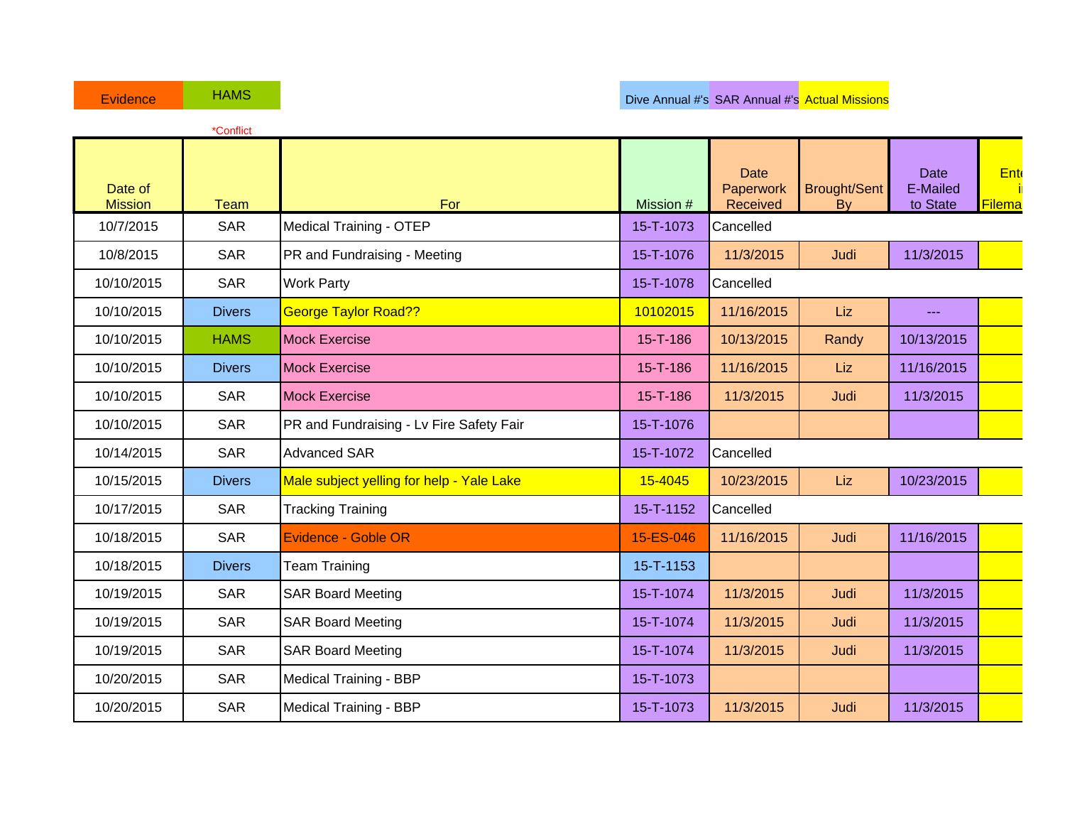|                           | *Conflict     |                                           |           |                                      |                           |                                     |               |
|---------------------------|---------------|-------------------------------------------|-----------|--------------------------------------|---------------------------|-------------------------------------|---------------|
| Date of<br><b>Mission</b> | <b>Team</b>   | For                                       | Mission # | <b>Date</b><br>Paperwork<br>Received | <b>Brought/Sent</b><br>By | <b>Date</b><br>E-Mailed<br>to State | Ent<br>Filema |
| 10/7/2015                 | <b>SAR</b>    | <b>Medical Training - OTEP</b>            | 15-T-1073 | Cancelled                            |                           |                                     |               |
| 10/8/2015                 | <b>SAR</b>    | PR and Fundraising - Meeting              | 15-T-1076 | 11/3/2015                            | Judi                      | 11/3/2015                           |               |
| 10/10/2015                | <b>SAR</b>    | <b>Work Party</b>                         | 15-T-1078 | Cancelled                            |                           |                                     |               |
| 10/10/2015                | <b>Divers</b> | <b>George Taylor Road??</b>               | 10102015  | 11/16/2015                           | Liz                       | $\sim$                              |               |
| 10/10/2015                | <b>HAMS</b>   | <b>Mock Exercise</b>                      | 15-T-186  | 10/13/2015                           | Randy                     | 10/13/2015                          |               |
| 10/10/2015                | <b>Divers</b> | <b>Mock Exercise</b>                      | 15-T-186  | 11/16/2015                           | Liz                       | 11/16/2015                          |               |
| 10/10/2015                | <b>SAR</b>    | <b>Mock Exercise</b>                      | 15-T-186  | 11/3/2015                            | Judi                      | 11/3/2015                           |               |
| 10/10/2015                | <b>SAR</b>    | PR and Fundraising - Lv Fire Safety Fair  | 15-T-1076 |                                      |                           |                                     |               |
| 10/14/2015                | <b>SAR</b>    | <b>Advanced SAR</b>                       | 15-T-1072 | Cancelled                            |                           |                                     |               |
| 10/15/2015                | <b>Divers</b> | Male subject yelling for help - Yale Lake | 15-4045   | 10/23/2015                           | Liz                       | 10/23/2015                          |               |
| 10/17/2015                | <b>SAR</b>    | <b>Tracking Training</b>                  | 15-T-1152 | Cancelled                            |                           |                                     |               |
| 10/18/2015                | <b>SAR</b>    | Evidence - Goble OR                       | 15-ES-046 | 11/16/2015                           | Judi                      | 11/16/2015                          |               |
| 10/18/2015                | <b>Divers</b> | <b>Team Training</b>                      | 15-T-1153 |                                      |                           |                                     |               |
| 10/19/2015                | <b>SAR</b>    | <b>SAR Board Meeting</b>                  | 15-T-1074 | 11/3/2015                            | Judi                      | 11/3/2015                           |               |
| 10/19/2015                | <b>SAR</b>    | <b>SAR Board Meeting</b>                  | 15-T-1074 | 11/3/2015                            | Judi                      | 11/3/2015                           |               |
| 10/19/2015                | <b>SAR</b>    | <b>SAR Board Meeting</b>                  | 15-T-1074 | 11/3/2015                            | Judi                      | 11/3/2015                           |               |
| 10/20/2015                | <b>SAR</b>    | <b>Medical Training - BBP</b>             | 15-T-1073 |                                      |                           |                                     |               |
| 10/20/2015                | <b>SAR</b>    | <b>Medical Training - BBP</b>             | 15-T-1073 | 11/3/2015                            | Judi                      | 11/3/2015                           |               |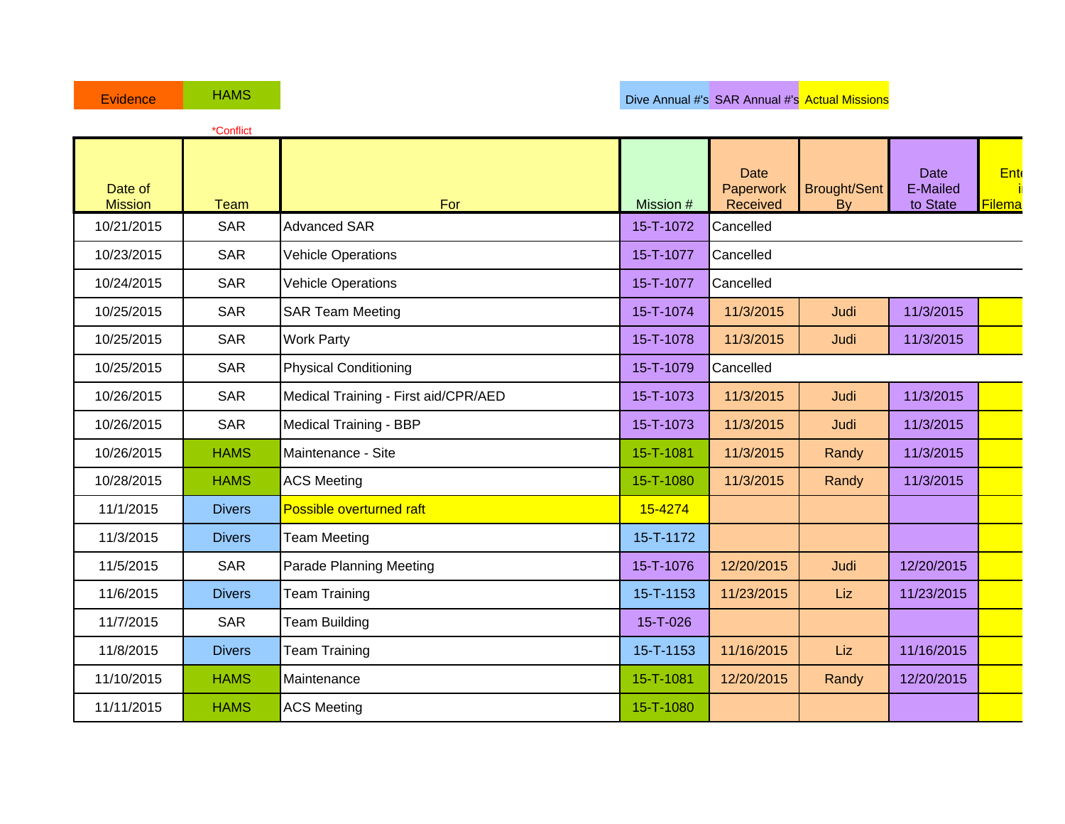|                           | *Conflict     |                                      |           |                                      |                           |                                     |               |
|---------------------------|---------------|--------------------------------------|-----------|--------------------------------------|---------------------------|-------------------------------------|---------------|
| Date of<br><b>Mission</b> | <b>Team</b>   | For                                  | Mission # | <b>Date</b><br>Paperwork<br>Received | <b>Brought/Sent</b><br>By | <b>Date</b><br>E-Mailed<br>to State | Ent<br>Filema |
| 10/21/2015                | <b>SAR</b>    | <b>Advanced SAR</b>                  | 15-T-1072 | Cancelled                            |                           |                                     |               |
| 10/23/2015                | <b>SAR</b>    | <b>Vehicle Operations</b>            | 15-T-1077 | Cancelled                            |                           |                                     |               |
| 10/24/2015                | <b>SAR</b>    | <b>Vehicle Operations</b>            | 15-T-1077 | Cancelled                            |                           |                                     |               |
| 10/25/2015                | <b>SAR</b>    | <b>SAR Team Meeting</b>              | 15-T-1074 | 11/3/2015                            | Judi                      | 11/3/2015                           |               |
| 10/25/2015                | <b>SAR</b>    | <b>Work Party</b>                    | 15-T-1078 | 11/3/2015                            | Judi                      | 11/3/2015                           |               |
| 10/25/2015                | <b>SAR</b>    | <b>Physical Conditioning</b>         | 15-T-1079 | Cancelled                            |                           |                                     |               |
| 10/26/2015                | <b>SAR</b>    | Medical Training - First aid/CPR/AED | 15-T-1073 | 11/3/2015                            | Judi                      | 11/3/2015                           |               |
| 10/26/2015                | <b>SAR</b>    | Medical Training - BBP               | 15-T-1073 | 11/3/2015                            | Judi                      | 11/3/2015                           |               |
| 10/26/2015                | <b>HAMS</b>   | Maintenance - Site                   | 15-T-1081 | 11/3/2015                            | Randy                     | 11/3/2015                           |               |
| 10/28/2015                | <b>HAMS</b>   | <b>ACS Meeting</b>                   | 15-T-1080 | 11/3/2015                            | Randy                     | 11/3/2015                           |               |
| 11/1/2015                 | <b>Divers</b> | Possible overturned raft             | 15-4274   |                                      |                           |                                     |               |
| 11/3/2015                 | <b>Divers</b> | <b>Team Meeting</b>                  | 15-T-1172 |                                      |                           |                                     |               |
| 11/5/2015                 | <b>SAR</b>    | <b>Parade Planning Meeting</b>       | 15-T-1076 | 12/20/2015                           | Judi                      | 12/20/2015                          |               |
| 11/6/2015                 | <b>Divers</b> | <b>Team Training</b>                 | 15-T-1153 | 11/23/2015                           | Liz                       | 11/23/2015                          |               |
| 11/7/2015                 | <b>SAR</b>    | <b>Team Building</b>                 | 15-T-026  |                                      |                           |                                     |               |
| 11/8/2015                 | <b>Divers</b> | <b>Team Training</b>                 | 15-T-1153 | 11/16/2015                           | Liz                       | 11/16/2015                          |               |
| 11/10/2015                | <b>HAMS</b>   | Maintenance                          | 15-T-1081 | 12/20/2015                           | Randy                     | 12/20/2015                          |               |
| 11/11/2015                | <b>HAMS</b>   | <b>ACS Meeting</b>                   | 15-T-1080 |                                      |                           |                                     |               |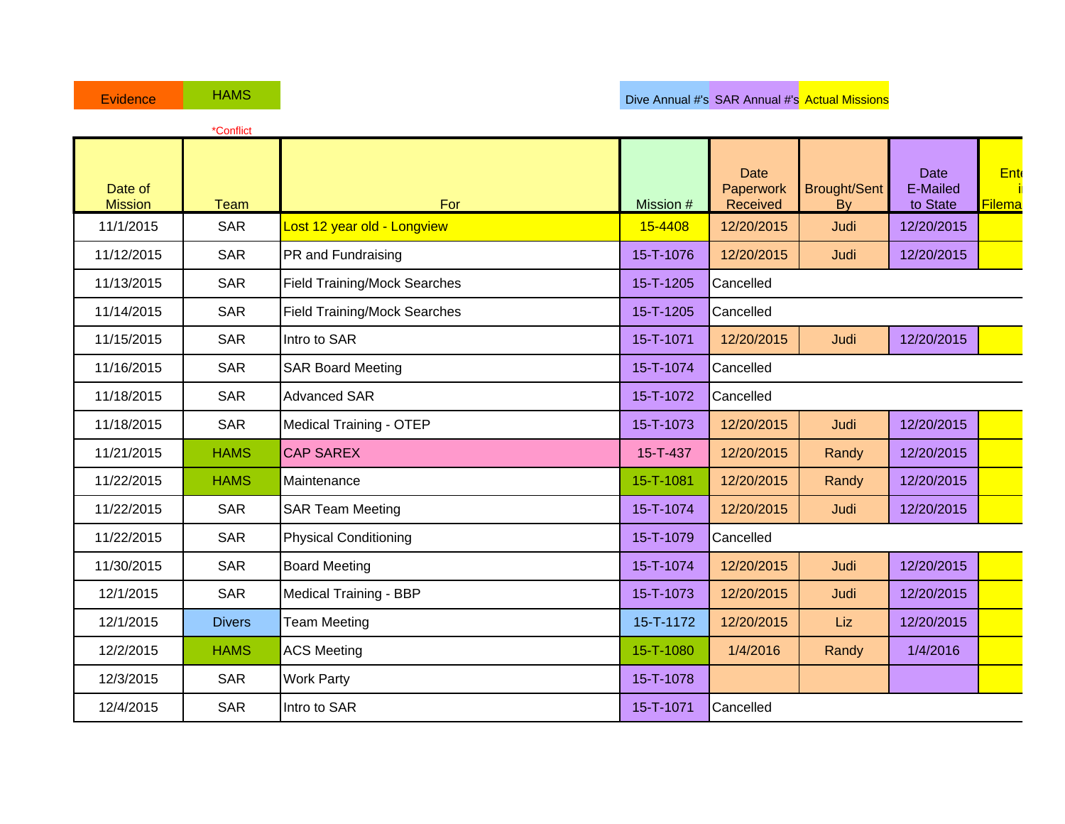|                           | *Conflict     |                                     |           |                                      |                                  |                                     |                      |
|---------------------------|---------------|-------------------------------------|-----------|--------------------------------------|----------------------------------|-------------------------------------|----------------------|
| Date of<br><b>Mission</b> | <b>Team</b>   | For                                 | Mission # | <b>Date</b><br>Paperwork<br>Received | <b>Brought/Sent</b><br><b>By</b> | <b>Date</b><br>E-Mailed<br>to State | Ent<br><b>Filema</b> |
| 11/1/2015                 | <b>SAR</b>    | Lost 12 year old - Longview         | 15-4408   | 12/20/2015                           | Judi                             | 12/20/2015                          |                      |
| 11/12/2015                | <b>SAR</b>    | PR and Fundraising                  | 15-T-1076 | 12/20/2015                           | Judi                             | 12/20/2015                          |                      |
| 11/13/2015                | <b>SAR</b>    | <b>Field Training/Mock Searches</b> | 15-T-1205 | Cancelled                            |                                  |                                     |                      |
| 11/14/2015                | <b>SAR</b>    | <b>Field Training/Mock Searches</b> | 15-T-1205 | Cancelled                            |                                  |                                     |                      |
| 11/15/2015                | <b>SAR</b>    | Intro to SAR                        | 15-T-1071 | 12/20/2015                           | Judi                             | 12/20/2015                          |                      |
| 11/16/2015                | <b>SAR</b>    | <b>SAR Board Meeting</b>            | 15-T-1074 | Cancelled                            |                                  |                                     |                      |
| 11/18/2015                | <b>SAR</b>    | <b>Advanced SAR</b>                 | 15-T-1072 | Cancelled                            |                                  |                                     |                      |
| 11/18/2015                | <b>SAR</b>    | <b>Medical Training - OTEP</b>      | 15-T-1073 | 12/20/2015                           | Judi                             | 12/20/2015                          |                      |
| 11/21/2015                | <b>HAMS</b>   | <b>CAP SAREX</b>                    | 15-T-437  | 12/20/2015                           | Randy                            | 12/20/2015                          |                      |
| 11/22/2015                | <b>HAMS</b>   | Maintenance                         | 15-T-1081 | 12/20/2015                           | Randy                            | 12/20/2015                          |                      |
| 11/22/2015                | <b>SAR</b>    | <b>SAR Team Meeting</b>             | 15-T-1074 | 12/20/2015                           | Judi                             | 12/20/2015                          |                      |
| 11/22/2015                | <b>SAR</b>    | <b>Physical Conditioning</b>        | 15-T-1079 | Cancelled                            |                                  |                                     |                      |
| 11/30/2015                | <b>SAR</b>    | <b>Board Meeting</b>                | 15-T-1074 | 12/20/2015                           | Judi                             | 12/20/2015                          |                      |
| 12/1/2015                 | <b>SAR</b>    | <b>Medical Training - BBP</b>       | 15-T-1073 | 12/20/2015                           | Judi                             | 12/20/2015                          |                      |
| 12/1/2015                 | <b>Divers</b> | <b>Team Meeting</b>                 | 15-T-1172 | 12/20/2015                           | Liz                              | 12/20/2015                          |                      |
| 12/2/2015                 | <b>HAMS</b>   | <b>ACS Meeting</b>                  | 15-T-1080 | 1/4/2016                             | Randy                            | 1/4/2016                            |                      |
| 12/3/2015                 | <b>SAR</b>    | <b>Work Party</b>                   | 15-T-1078 |                                      |                                  |                                     |                      |
| 12/4/2015                 | <b>SAR</b>    | Intro to SAR                        | 15-T-1071 | Cancelled                            |                                  |                                     |                      |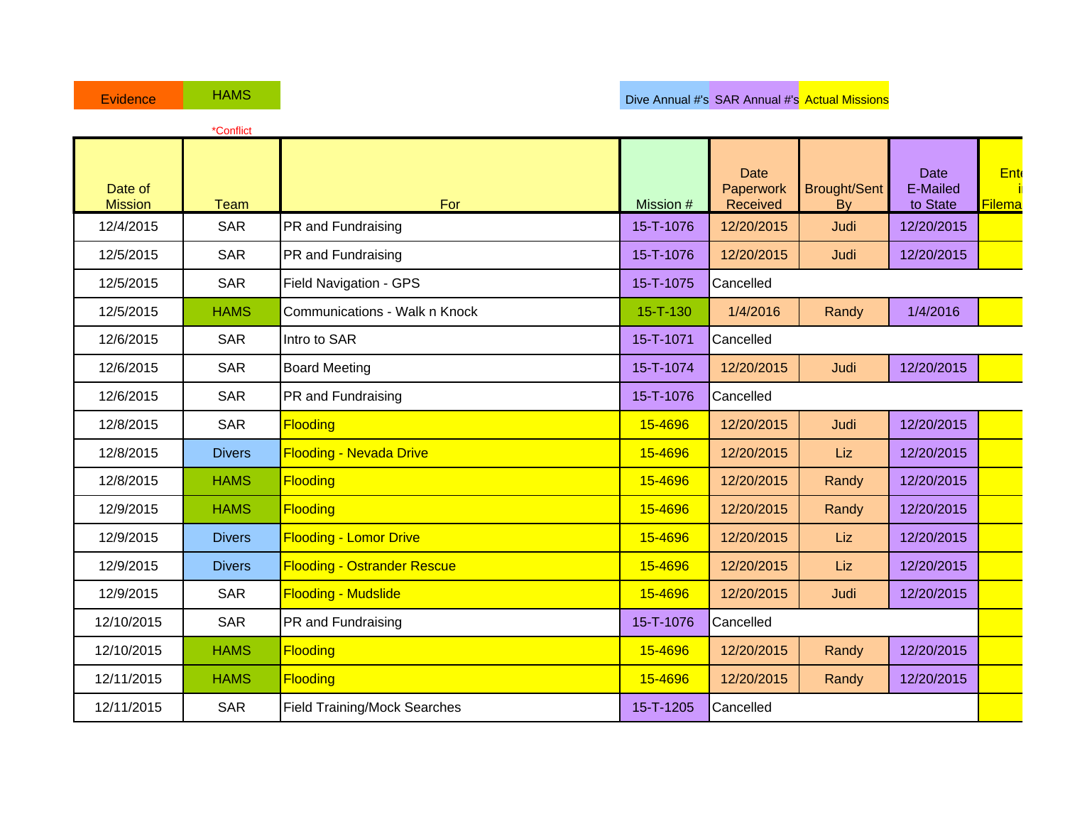|                           | *Conflict     |                                     |                |                                      |                           |                              |               |
|---------------------------|---------------|-------------------------------------|----------------|--------------------------------------|---------------------------|------------------------------|---------------|
| Date of<br><b>Mission</b> | <b>Team</b>   | For                                 | Mission #      | <b>Date</b><br>Paperwork<br>Received | <b>Brought/Sent</b><br>By | Date<br>E-Mailed<br>to State | Ent<br>Filema |
| 12/4/2015                 | <b>SAR</b>    | PR and Fundraising                  | 15-T-1076      | 12/20/2015                           | Judi                      | 12/20/2015                   |               |
| 12/5/2015                 | <b>SAR</b>    | PR and Fundraising                  | 15-T-1076      | 12/20/2015                           | Judi                      | 12/20/2015                   |               |
| 12/5/2015                 | <b>SAR</b>    | Field Navigation - GPS              | 15-T-1075      | Cancelled                            |                           |                              |               |
| 12/5/2015                 | <b>HAMS</b>   | Communications - Walk n Knock       | $15 - T - 130$ | 1/4/2016                             | Randy                     | 1/4/2016                     |               |
| 12/6/2015                 | <b>SAR</b>    | Intro to SAR                        | 15-T-1071      | Cancelled                            |                           |                              |               |
| 12/6/2015                 | <b>SAR</b>    | <b>Board Meeting</b>                | 15-T-1074      | 12/20/2015                           | Judi                      | 12/20/2015                   |               |
| 12/6/2015                 | <b>SAR</b>    | PR and Fundraising                  | 15-T-1076      | Cancelled                            |                           |                              |               |
| 12/8/2015                 | <b>SAR</b>    | <b>Flooding</b>                     | 15-4696        | 12/20/2015                           | Judi                      | 12/20/2015                   |               |
| 12/8/2015                 | <b>Divers</b> | <b>Flooding - Nevada Drive</b>      | 15-4696        | 12/20/2015                           | Liz                       | 12/20/2015                   |               |
| 12/8/2015                 | <b>HAMS</b>   | <b>Flooding</b>                     | 15-4696        | 12/20/2015                           | Randy                     | 12/20/2015                   |               |
| 12/9/2015                 | <b>HAMS</b>   | <b>Flooding</b>                     | 15-4696        | 12/20/2015                           | Randy                     | 12/20/2015                   |               |
| 12/9/2015                 | <b>Divers</b> | <b>Flooding - Lomor Drive</b>       | 15-4696        | 12/20/2015                           | Liz                       | 12/20/2015                   |               |
| 12/9/2015                 | <b>Divers</b> | <b>Flooding - Ostrander Rescue</b>  | 15-4696        | 12/20/2015                           | Liz                       | 12/20/2015                   |               |
| 12/9/2015                 | <b>SAR</b>    | <b>Flooding - Mudslide</b>          | 15-4696        | 12/20/2015                           | Judi                      | 12/20/2015                   |               |
| 12/10/2015                | <b>SAR</b>    | PR and Fundraising                  | 15-T-1076      | Cancelled                            |                           |                              |               |
| 12/10/2015                | <b>HAMS</b>   | <b>Flooding</b>                     | 15-4696        | 12/20/2015                           | Randy                     | 12/20/2015                   |               |
| 12/11/2015                | <b>HAMS</b>   | <b>Flooding</b>                     | 15-4696        | 12/20/2015                           | Randy                     | 12/20/2015                   |               |
| 12/11/2015                | <b>SAR</b>    | <b>Field Training/Mock Searches</b> | 15-T-1205      | Cancelled                            |                           |                              |               |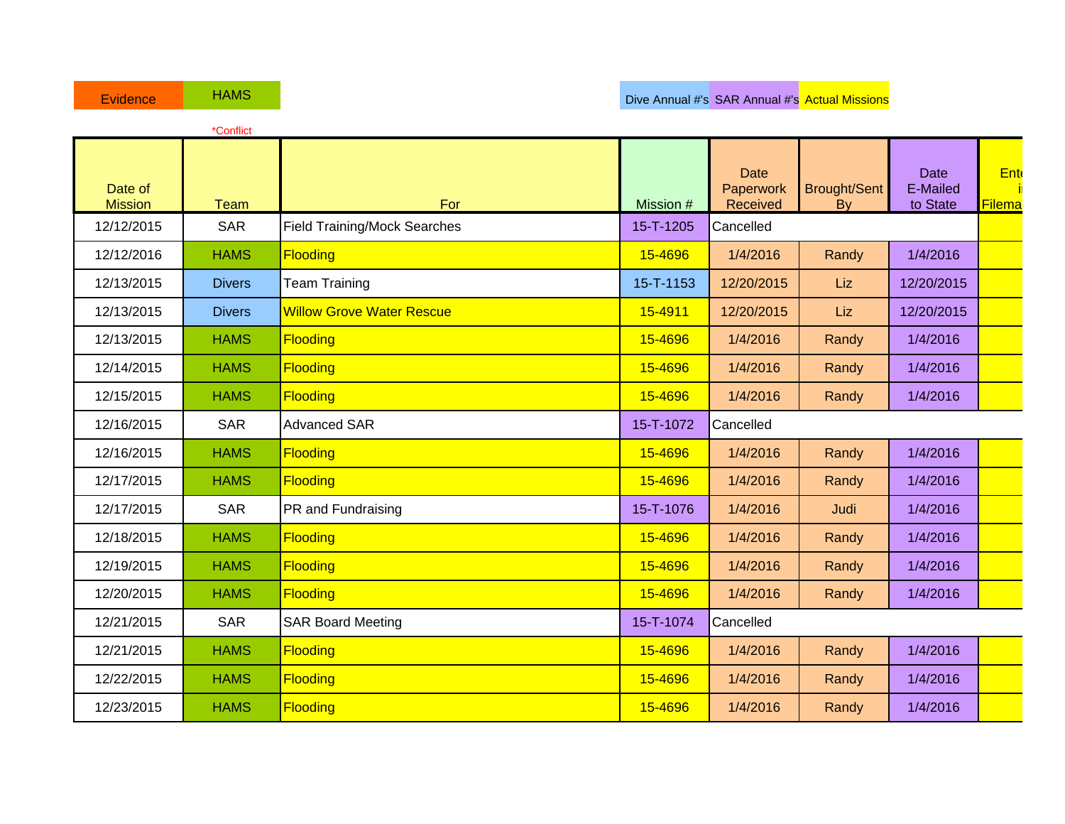|                           | *Conflict     |                                     |           |                                      |                           |                              |                      |
|---------------------------|---------------|-------------------------------------|-----------|--------------------------------------|---------------------------|------------------------------|----------------------|
| Date of<br><b>Mission</b> | <b>Team</b>   | For                                 | Mission # | <b>Date</b><br>Paperwork<br>Received | <b>Brought/Sent</b><br>By | Date<br>E-Mailed<br>to State | <b>Ent</b><br>Filema |
| 12/12/2015                | <b>SAR</b>    | <b>Field Training/Mock Searches</b> | 15-T-1205 | Cancelled                            |                           |                              |                      |
| 12/12/2016                | <b>HAMS</b>   | <b>Flooding</b>                     | 15-4696   | 1/4/2016                             | Randy                     | 1/4/2016                     |                      |
| 12/13/2015                | <b>Divers</b> | <b>Team Training</b>                | 15-T-1153 | 12/20/2015                           | Liz                       | 12/20/2015                   |                      |
| 12/13/2015                | <b>Divers</b> | <b>Willow Grove Water Rescue</b>    | 15-4911   | 12/20/2015                           | <b>Liz</b>                | 12/20/2015                   |                      |
| 12/13/2015                | <b>HAMS</b>   | <b>Flooding</b>                     | 15-4696   | 1/4/2016                             | Randy                     | 1/4/2016                     |                      |
| 12/14/2015                | <b>HAMS</b>   | <b>Flooding</b>                     | 15-4696   | 1/4/2016                             | Randy                     | 1/4/2016                     |                      |
| 12/15/2015                | <b>HAMS</b>   | <b>Flooding</b>                     | 15-4696   | 1/4/2016                             | Randy                     | 1/4/2016                     |                      |
| 12/16/2015                | <b>SAR</b>    | <b>Advanced SAR</b>                 | 15-T-1072 | Cancelled                            |                           |                              |                      |
| 12/16/2015                | <b>HAMS</b>   | <b>Flooding</b>                     | 15-4696   | 1/4/2016                             | Randy                     | 1/4/2016                     |                      |
| 12/17/2015                | <b>HAMS</b>   | <b>Flooding</b>                     | 15-4696   | 1/4/2016                             | Randy                     | 1/4/2016                     |                      |
| 12/17/2015                | <b>SAR</b>    | PR and Fundraising                  | 15-T-1076 | 1/4/2016                             | Judi                      | 1/4/2016                     |                      |
| 12/18/2015                | <b>HAMS</b>   | <b>Flooding</b>                     | 15-4696   | 1/4/2016                             | Randy                     | 1/4/2016                     |                      |
| 12/19/2015                | <b>HAMS</b>   | <b>Flooding</b>                     | 15-4696   | 1/4/2016                             | Randy                     | 1/4/2016                     |                      |
| 12/20/2015                | <b>HAMS</b>   | <b>Flooding</b>                     | 15-4696   | 1/4/2016                             | Randy                     | 1/4/2016                     |                      |
| 12/21/2015                | <b>SAR</b>    | <b>SAR Board Meeting</b>            | 15-T-1074 | Cancelled                            |                           |                              |                      |
| 12/21/2015                | <b>HAMS</b>   | <b>Flooding</b>                     | 15-4696   | 1/4/2016                             | Randy                     | 1/4/2016                     |                      |
| 12/22/2015                | <b>HAMS</b>   | <b>Flooding</b>                     | 15-4696   | 1/4/2016                             | Randy                     | 1/4/2016                     |                      |
| 12/23/2015                | <b>HAMS</b>   | <b>Flooding</b>                     | 15-4696   | 1/4/2016                             | Randy                     | 1/4/2016                     |                      |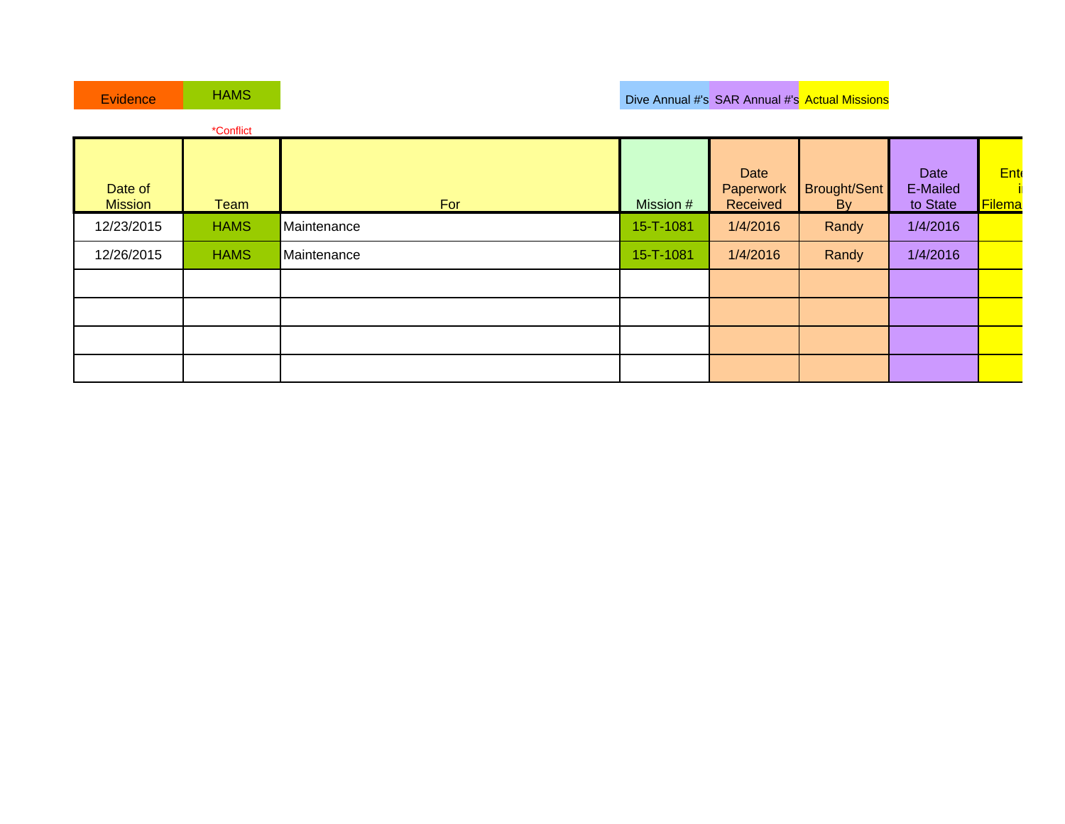| Evidence                  | <b>HAMS</b> |             |           |                               | Dive Annual #'s SAR Annual #'s Actual Missions |                              |                       |
|---------------------------|-------------|-------------|-----------|-------------------------------|------------------------------------------------|------------------------------|-----------------------|
|                           | *Conflict   |             |           |                               |                                                |                              |                       |
| Date of<br><b>Mission</b> | Team        | For         | Mission # | Date<br>Paperwork<br>Received | Brought/Sent<br>By                             | Date<br>E-Mailed<br>to State | <b>Ente</b><br>Filema |
| 12/23/2015                | <b>HAMS</b> | Maintenance | 15-T-1081 | 1/4/2016                      | Randy                                          | 1/4/2016                     |                       |
| 12/26/2015                | <b>HAMS</b> | Maintenance | 15-T-1081 | 1/4/2016                      | Randy                                          | 1/4/2016                     |                       |
|                           |             |             |           |                               |                                                |                              |                       |
|                           |             |             |           |                               |                                                |                              |                       |
|                           |             |             |           |                               |                                                |                              |                       |
|                           |             |             |           |                               |                                                |                              |                       |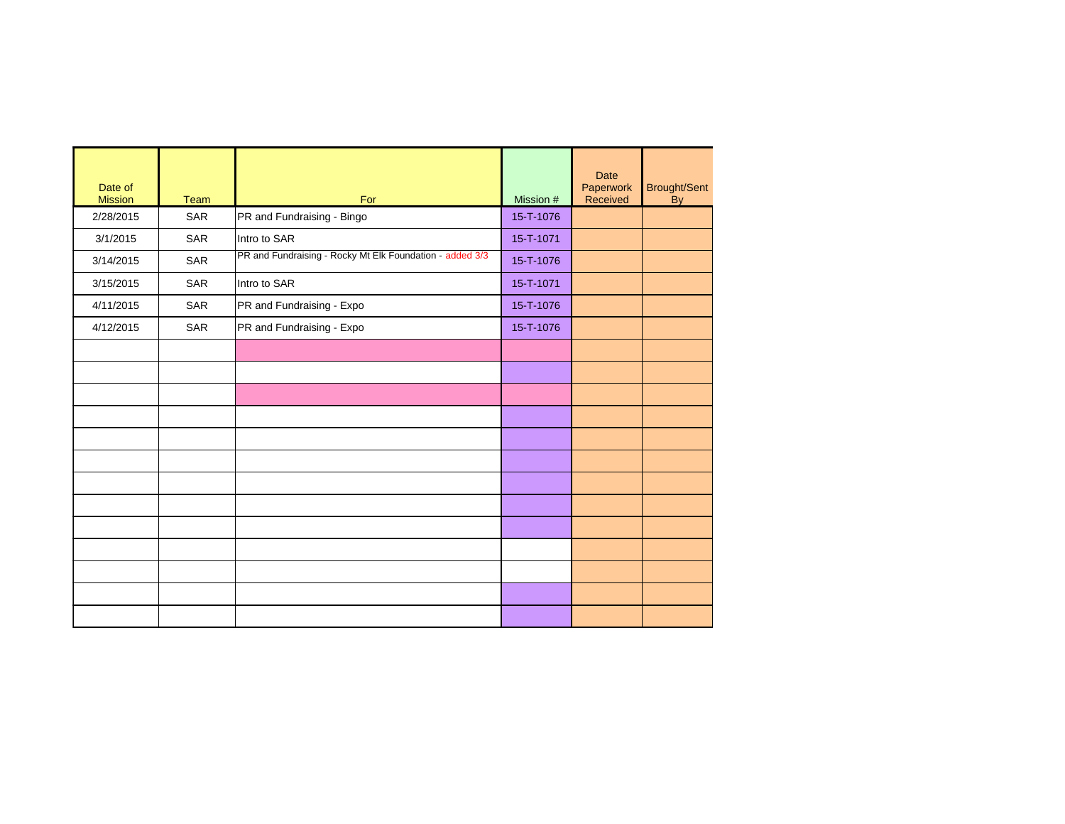| Date of<br><b>Mission</b> | Team       | For                                                      | Mission # | <b>Date</b><br>Paperwork<br>Received | Brought/Sent<br>By |
|---------------------------|------------|----------------------------------------------------------|-----------|--------------------------------------|--------------------|
| 2/28/2015                 | SAR        | PR and Fundraising - Bingo                               | 15-T-1076 |                                      |                    |
| 3/1/2015                  | <b>SAR</b> | Intro to SAR                                             | 15-T-1071 |                                      |                    |
| 3/14/2015                 | SAR        | PR and Fundraising - Rocky Mt Elk Foundation - added 3/3 | 15-T-1076 |                                      |                    |
| 3/15/2015                 | SAR        | Intro to SAR                                             | 15-T-1071 |                                      |                    |
| 4/11/2015                 | <b>SAR</b> | PR and Fundraising - Expo                                | 15-T-1076 |                                      |                    |
| 4/12/2015                 | SAR        | PR and Fundraising - Expo                                | 15-T-1076 |                                      |                    |
|                           |            |                                                          |           |                                      |                    |
|                           |            |                                                          |           |                                      |                    |
|                           |            |                                                          |           |                                      |                    |
|                           |            |                                                          |           |                                      |                    |
|                           |            |                                                          |           |                                      |                    |
|                           |            |                                                          |           |                                      |                    |
|                           |            |                                                          |           |                                      |                    |
|                           |            |                                                          |           |                                      |                    |
|                           |            |                                                          |           |                                      |                    |
|                           |            |                                                          |           |                                      |                    |
|                           |            |                                                          |           |                                      |                    |
|                           |            |                                                          |           |                                      |                    |
|                           |            |                                                          |           |                                      |                    |